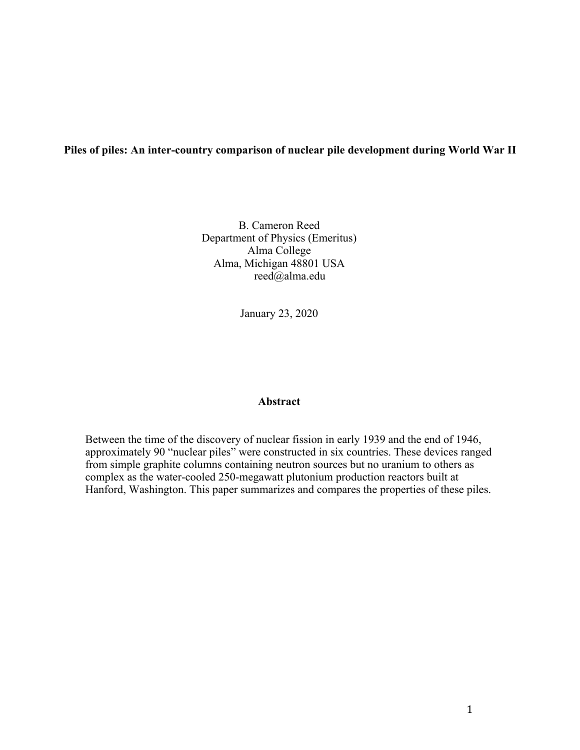#### **Piles of piles: An inter-country comparison of nuclear pile development during World War II**

B. Cameron Reed Department of Physics (Emeritus) Alma College Alma, Michigan 48801 USA reed@alma.edu

January 23, 2020

#### **Abstract**

Between the time of the discovery of nuclear fission in early 1939 and the end of 1946, approximately 90 "nuclear piles" were constructed in six countries. These devices ranged from simple graphite columns containing neutron sources but no uranium to others as complex as the water-cooled 250-megawatt plutonium production reactors built at Hanford, Washington. This paper summarizes and compares the properties of these piles.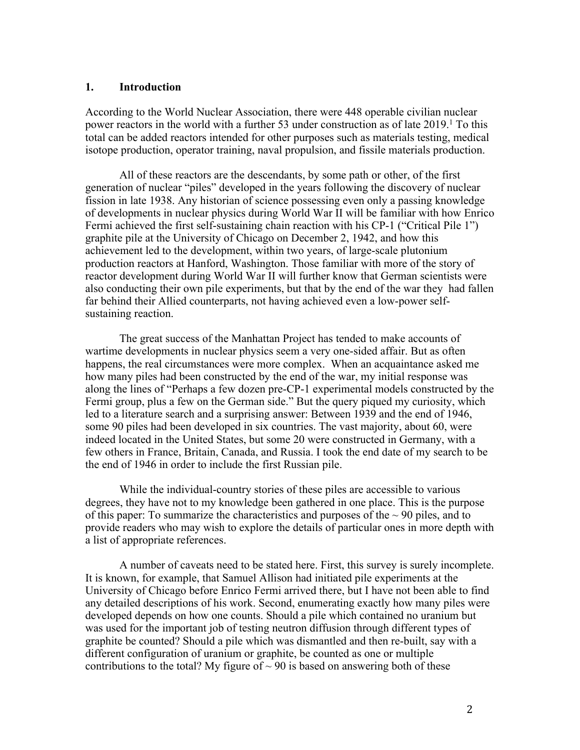#### **1. Introduction**

According to the World Nuclear Association, there were 448 operable civilian nuclear power reactors in the world with a further 53 under construction as of late 2019. <sup>1</sup> To this total can be added reactors intended for other purposes such as materials testing, medical isotope production, operator training, naval propulsion, and fissile materials production.

All of these reactors are the descendants, by some path or other, of the first generation of nuclear "piles" developed in the years following the discovery of nuclear fission in late 1938. Any historian of science possessing even only a passing knowledge of developments in nuclear physics during World War II will be familiar with how Enrico Fermi achieved the first self-sustaining chain reaction with his CP-1 ("Critical Pile 1") graphite pile at the University of Chicago on December 2, 1942, and how this achievement led to the development, within two years, of large-scale plutonium production reactors at Hanford, Washington. Those familiar with more of the story of reactor development during World War II will further know that German scientists were also conducting their own pile experiments, but that by the end of the war they had fallen far behind their Allied counterparts, not having achieved even a low-power selfsustaining reaction.

The great success of the Manhattan Project has tended to make accounts of wartime developments in nuclear physics seem a very one-sided affair. But as often happens, the real circumstances were more complex. When an acquaintance asked me how many piles had been constructed by the end of the war, my initial response was along the lines of "Perhaps a few dozen pre-CP-1 experimental models constructed by the Fermi group, plus a few on the German side." But the query piqued my curiosity, which led to a literature search and a surprising answer: Between 1939 and the end of 1946, some 90 piles had been developed in six countries. The vast majority, about 60, were indeed located in the United States, but some 20 were constructed in Germany, with a few others in France, Britain, Canada, and Russia. I took the end date of my search to be the end of 1946 in order to include the first Russian pile.

While the individual-country stories of these piles are accessible to various degrees, they have not to my knowledge been gathered in one place. This is the purpose of this paper: To summarize the characteristics and purposes of the  $\sim$  90 piles, and to provide readers who may wish to explore the details of particular ones in more depth with a list of appropriate references.

A number of caveats need to be stated here. First, this survey is surely incomplete. It is known, for example, that Samuel Allison had initiated pile experiments at the University of Chicago before Enrico Fermi arrived there, but I have not been able to find any detailed descriptions of his work. Second, enumerating exactly how many piles were developed depends on how one counts. Should a pile which contained no uranium but was used for the important job of testing neutron diffusion through different types of graphite be counted? Should a pile which was dismantled and then re-built, say with a different configuration of uranium or graphite, be counted as one or multiple contributions to the total? My figure of  $\sim$  90 is based on answering both of these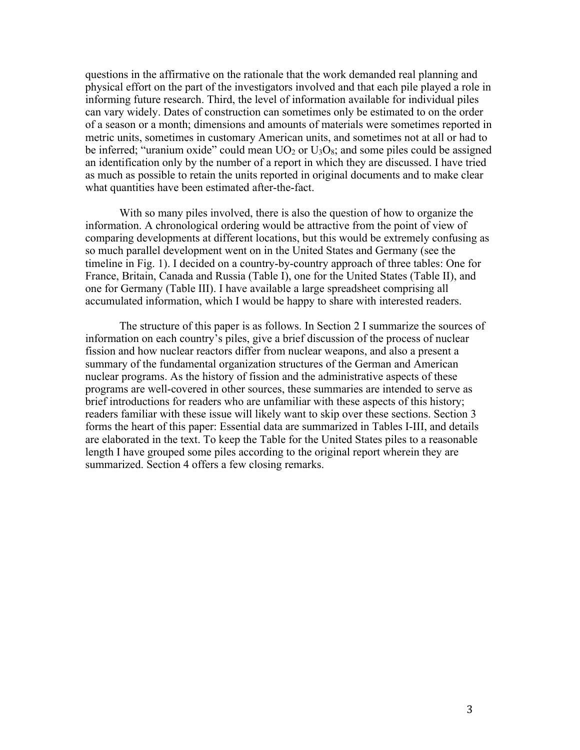questions in the affirmative on the rationale that the work demanded real planning and physical effort on the part of the investigators involved and that each pile played a role in informing future research. Third, the level of information available for individual piles can vary widely. Dates of construction can sometimes only be estimated to on the order of a season or a month; dimensions and amounts of materials were sometimes reported in metric units, sometimes in customary American units, and sometimes not at all or had to be inferred; "uranium oxide" could mean  $UO<sub>2</sub>$  or  $U<sub>3</sub>O<sub>8</sub>$ ; and some piles could be assigned an identification only by the number of a report in which they are discussed. I have tried as much as possible to retain the units reported in original documents and to make clear what quantities have been estimated after-the-fact.

With so many piles involved, there is also the question of how to organize the information. A chronological ordering would be attractive from the point of view of comparing developments at different locations, but this would be extremely confusing as so much parallel development went on in the United States and Germany (see the timeline in Fig. 1). I decided on a country-by-country approach of three tables: One for France, Britain, Canada and Russia (Table I), one for the United States (Table II), and one for Germany (Table III). I have available a large spreadsheet comprising all accumulated information, which I would be happy to share with interested readers.

The structure of this paper is as follows. In Section 2 I summarize the sources of information on each country's piles, give a brief discussion of the process of nuclear fission and how nuclear reactors differ from nuclear weapons, and also a present a summary of the fundamental organization structures of the German and American nuclear programs. As the history of fission and the administrative aspects of these programs are well-covered in other sources, these summaries are intended to serve as brief introductions for readers who are unfamiliar with these aspects of this history; readers familiar with these issue will likely want to skip over these sections. Section 3 forms the heart of this paper: Essential data are summarized in Tables I-III, and details are elaborated in the text. To keep the Table for the United States piles to a reasonable length I have grouped some piles according to the original report wherein they are summarized. Section 4 offers a few closing remarks.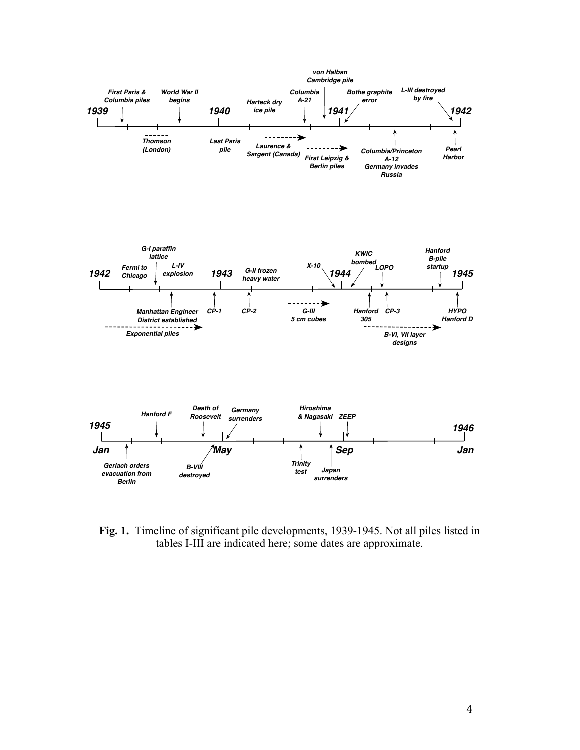

**Fig. 1.** Timeline of significant pile developments, 1939-1945. Not all piles listed in tables I-III are indicated here; some dates are approximate.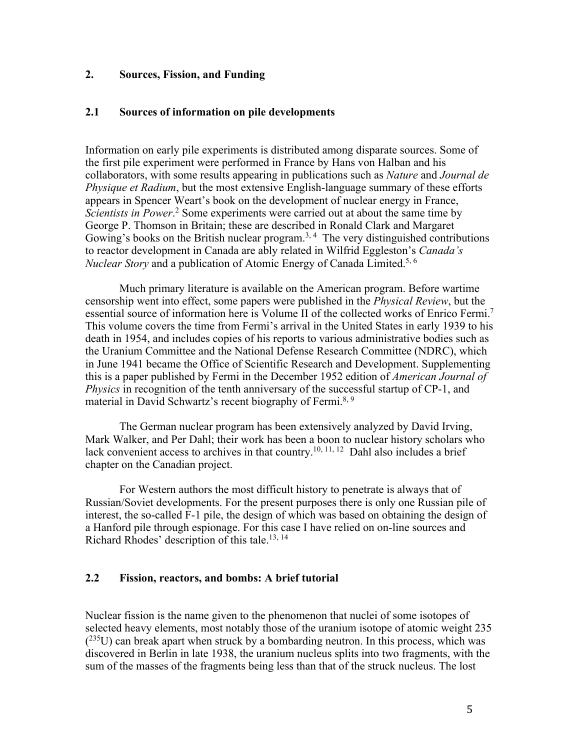## **2. Sources, Fission, and Funding**

### **2.1 Sources of information on pile developments**

Information on early pile experiments is distributed among disparate sources. Some of the first pile experiment were performed in France by Hans von Halban and his collaborators, with some results appearing in publications such as *Nature* and *Journal de Physique et Radium*, but the most extensive English-language summary of these efforts appears in Spencer Weart's book on the development of nuclear energy in France, *Scientists in Power*. <sup>2</sup> Some experiments were carried out at about the same time by George P. Thomson in Britain; these are described in Ronald Clark and Margaret Gowing's books on the British nuclear program.<sup>3, 4</sup> The very distinguished contributions to reactor development in Canada are ably related in Wilfrid Eggleston's *Canada's Nuclear Story* and a publication of Atomic Energy of Canada Limited.<sup>5, 6</sup>

Much primary literature is available on the American program. Before wartime censorship went into effect, some papers were published in the *Physical Review*, but the essential source of information here is Volume II of the collected works of Enrico Fermi.7 This volume covers the time from Fermi's arrival in the United States in early 1939 to his death in 1954, and includes copies of his reports to various administrative bodies such as the Uranium Committee and the National Defense Research Committee (NDRC), which in June 1941 became the Office of Scientific Research and Development. Supplementing this is a paper published by Fermi in the December 1952 edition of *American Journal of Physics* in recognition of the tenth anniversary of the successful startup of CP-1, and material in David Schwartz's recent biography of Fermi.<sup>8, 9</sup>

The German nuclear program has been extensively analyzed by David Irving, Mark Walker, and Per Dahl; their work has been a boon to nuclear history scholars who lack convenient access to archives in that country.<sup>10, 11, 12</sup> Dahl also includes a brief chapter on the Canadian project.

For Western authors the most difficult history to penetrate is always that of Russian/Soviet developments. For the present purposes there is only one Russian pile of interest, the so-called F-1 pile, the design of which was based on obtaining the design of a Hanford pile through espionage. For this case I have relied on on-line sources and Richard Rhodes' description of this tale.13, 14

### **2.2 Fission, reactors, and bombs: A brief tutorial**

Nuclear fission is the name given to the phenomenon that nuclei of some isotopes of selected heavy elements, most notably those of the uranium isotope of atomic weight 235  $(235U)$  can break apart when struck by a bombarding neutron. In this process, which was discovered in Berlin in late 1938, the uranium nucleus splits into two fragments, with the sum of the masses of the fragments being less than that of the struck nucleus. The lost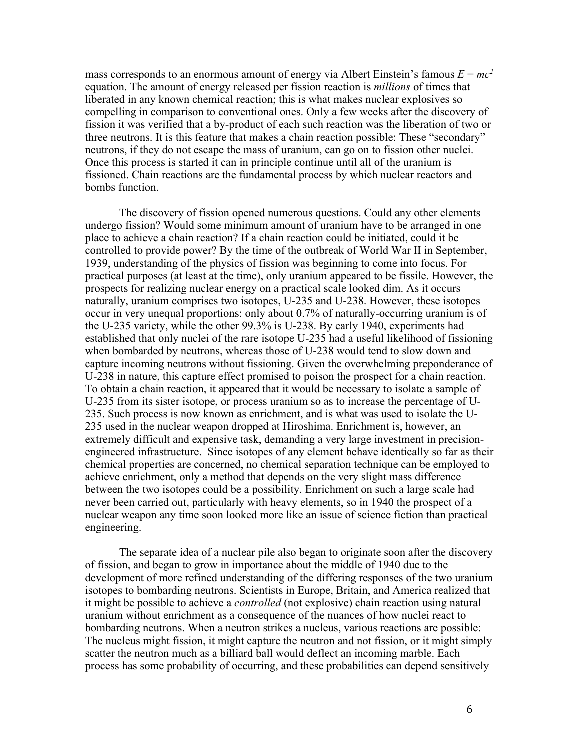mass corresponds to an enormous amount of energy via Albert Einstein's famous  $E = mc^2$ equation. The amount of energy released per fission reaction is *millions* of times that liberated in any known chemical reaction; this is what makes nuclear explosives so compelling in comparison to conventional ones. Only a few weeks after the discovery of fission it was verified that a by-product of each such reaction was the liberation of two or three neutrons. It is this feature that makes a chain reaction possible: These "secondary" neutrons, if they do not escape the mass of uranium, can go on to fission other nuclei. Once this process is started it can in principle continue until all of the uranium is fissioned. Chain reactions are the fundamental process by which nuclear reactors and bombs function.

The discovery of fission opened numerous questions. Could any other elements undergo fission? Would some minimum amount of uranium have to be arranged in one place to achieve a chain reaction? If a chain reaction could be initiated, could it be controlled to provide power? By the time of the outbreak of World War II in September, 1939, understanding of the physics of fission was beginning to come into focus. For practical purposes (at least at the time), only uranium appeared to be fissile. However, the prospects for realizing nuclear energy on a practical scale looked dim. As it occurs naturally, uranium comprises two isotopes, U-235 and U-238. However, these isotopes occur in very unequal proportions: only about 0.7% of naturally-occurring uranium is of the U-235 variety, while the other 99.3% is U-238. By early 1940, experiments had established that only nuclei of the rare isotope U-235 had a useful likelihood of fissioning when bombarded by neutrons, whereas those of U-238 would tend to slow down and capture incoming neutrons without fissioning. Given the overwhelming preponderance of U-238 in nature, this capture effect promised to poison the prospect for a chain reaction. To obtain a chain reaction, it appeared that it would be necessary to isolate a sample of U-235 from its sister isotope, or process uranium so as to increase the percentage of U-235. Such process is now known as enrichment, and is what was used to isolate the U-235 used in the nuclear weapon dropped at Hiroshima. Enrichment is, however, an extremely difficult and expensive task, demanding a very large investment in precisionengineered infrastructure. Since isotopes of any element behave identically so far as their chemical properties are concerned, no chemical separation technique can be employed to achieve enrichment, only a method that depends on the very slight mass difference between the two isotopes could be a possibility. Enrichment on such a large scale had never been carried out, particularly with heavy elements, so in 1940 the prospect of a nuclear weapon any time soon looked more like an issue of science fiction than practical engineering.

The separate idea of a nuclear pile also began to originate soon after the discovery of fission, and began to grow in importance about the middle of 1940 due to the development of more refined understanding of the differing responses of the two uranium isotopes to bombarding neutrons. Scientists in Europe, Britain, and America realized that it might be possible to achieve a *controlled* (not explosive) chain reaction using natural uranium without enrichment as a consequence of the nuances of how nuclei react to bombarding neutrons. When a neutron strikes a nucleus, various reactions are possible: The nucleus might fission, it might capture the neutron and not fission, or it might simply scatter the neutron much as a billiard ball would deflect an incoming marble. Each process has some probability of occurring, and these probabilities can depend sensitively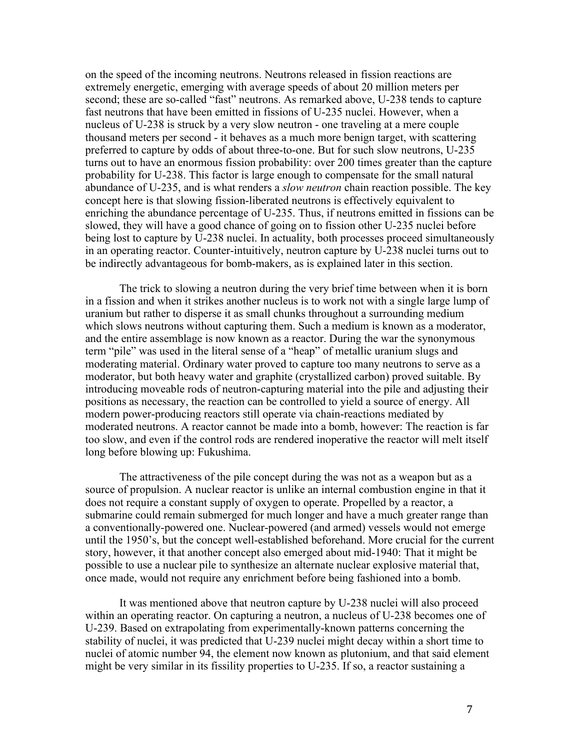on the speed of the incoming neutrons. Neutrons released in fission reactions are extremely energetic, emerging with average speeds of about 20 million meters per second; these are so-called "fast" neutrons. As remarked above, U-238 tends to capture fast neutrons that have been emitted in fissions of U-235 nuclei. However, when a nucleus of U-238 is struck by a very slow neutron - one traveling at a mere couple thousand meters per second - it behaves as a much more benign target, with scattering preferred to capture by odds of about three-to-one. But for such slow neutrons, U-235 turns out to have an enormous fission probability: over 200 times greater than the capture probability for U-238. This factor is large enough to compensate for the small natural abundance of U-235, and is what renders a *slow neutron* chain reaction possible. The key concept here is that slowing fission-liberated neutrons is effectively equivalent to enriching the abundance percentage of U-235. Thus, if neutrons emitted in fissions can be slowed, they will have a good chance of going on to fission other U-235 nuclei before being lost to capture by U-238 nuclei. In actuality, both processes proceed simultaneously in an operating reactor. Counter-intuitively, neutron capture by U-238 nuclei turns out to be indirectly advantageous for bomb-makers, as is explained later in this section.

The trick to slowing a neutron during the very brief time between when it is born in a fission and when it strikes another nucleus is to work not with a single large lump of uranium but rather to disperse it as small chunks throughout a surrounding medium which slows neutrons without capturing them. Such a medium is known as a moderator, and the entire assemblage is now known as a reactor. During the war the synonymous term "pile" was used in the literal sense of a "heap" of metallic uranium slugs and moderating material. Ordinary water proved to capture too many neutrons to serve as a moderator, but both heavy water and graphite (crystallized carbon) proved suitable. By introducing moveable rods of neutron-capturing material into the pile and adjusting their positions as necessary, the reaction can be controlled to yield a source of energy. All modern power-producing reactors still operate via chain-reactions mediated by moderated neutrons. A reactor cannot be made into a bomb, however: The reaction is far too slow, and even if the control rods are rendered inoperative the reactor will melt itself long before blowing up: Fukushima.

The attractiveness of the pile concept during the was not as a weapon but as a source of propulsion. A nuclear reactor is unlike an internal combustion engine in that it does not require a constant supply of oxygen to operate. Propelled by a reactor, a submarine could remain submerged for much longer and have a much greater range than a conventionally-powered one. Nuclear-powered (and armed) vessels would not emerge until the 1950's, but the concept well-established beforehand. More crucial for the current story, however, it that another concept also emerged about mid-1940: That it might be possible to use a nuclear pile to synthesize an alternate nuclear explosive material that, once made, would not require any enrichment before being fashioned into a bomb.

It was mentioned above that neutron capture by U-238 nuclei will also proceed within an operating reactor. On capturing a neutron, a nucleus of U-238 becomes one of U-239. Based on extrapolating from experimentally-known patterns concerning the stability of nuclei, it was predicted that U-239 nuclei might decay within a short time to nuclei of atomic number 94, the element now known as plutonium, and that said element might be very similar in its fissility properties to U-235. If so, a reactor sustaining a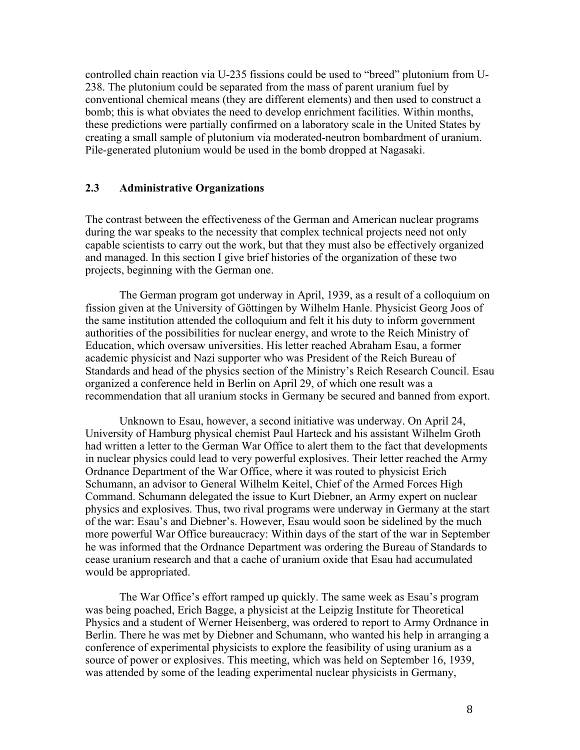controlled chain reaction via U-235 fissions could be used to "breed" plutonium from U-238. The plutonium could be separated from the mass of parent uranium fuel by conventional chemical means (they are different elements) and then used to construct a bomb; this is what obviates the need to develop enrichment facilities. Within months, these predictions were partially confirmed on a laboratory scale in the United States by creating a small sample of plutonium via moderated-neutron bombardment of uranium. Pile-generated plutonium would be used in the bomb dropped at Nagasaki.

## **2.3 Administrative Organizations**

The contrast between the effectiveness of the German and American nuclear programs during the war speaks to the necessity that complex technical projects need not only capable scientists to carry out the work, but that they must also be effectively organized and managed. In this section I give brief histories of the organization of these two projects, beginning with the German one.

The German program got underway in April, 1939, as a result of a colloquium on fission given at the University of Göttingen by Wilhelm Hanle. Physicist Georg Joos of the same institution attended the colloquium and felt it his duty to inform government authorities of the possibilities for nuclear energy, and wrote to the Reich Ministry of Education, which oversaw universities. His letter reached Abraham Esau, a former academic physicist and Nazi supporter who was President of the Reich Bureau of Standards and head of the physics section of the Ministry's Reich Research Council. Esau organized a conference held in Berlin on April 29, of which one result was a recommendation that all uranium stocks in Germany be secured and banned from export.

Unknown to Esau, however, a second initiative was underway. On April 24, University of Hamburg physical chemist Paul Harteck and his assistant Wilhelm Groth had written a letter to the German War Office to alert them to the fact that developments in nuclear physics could lead to very powerful explosives. Their letter reached the Army Ordnance Department of the War Office, where it was routed to physicist Erich Schumann, an advisor to General Wilhelm Keitel, Chief of the Armed Forces High Command. Schumann delegated the issue to Kurt Diebner, an Army expert on nuclear physics and explosives. Thus, two rival programs were underway in Germany at the start of the war: Esau's and Diebner's. However, Esau would soon be sidelined by the much more powerful War Office bureaucracy: Within days of the start of the war in September he was informed that the Ordnance Department was ordering the Bureau of Standards to cease uranium research and that a cache of uranium oxide that Esau had accumulated would be appropriated.

The War Office's effort ramped up quickly. The same week as Esau's program was being poached, Erich Bagge, a physicist at the Leipzig Institute for Theoretical Physics and a student of Werner Heisenberg, was ordered to report to Army Ordnance in Berlin. There he was met by Diebner and Schumann, who wanted his help in arranging a conference of experimental physicists to explore the feasibility of using uranium as a source of power or explosives. This meeting, which was held on September 16, 1939, was attended by some of the leading experimental nuclear physicists in Germany,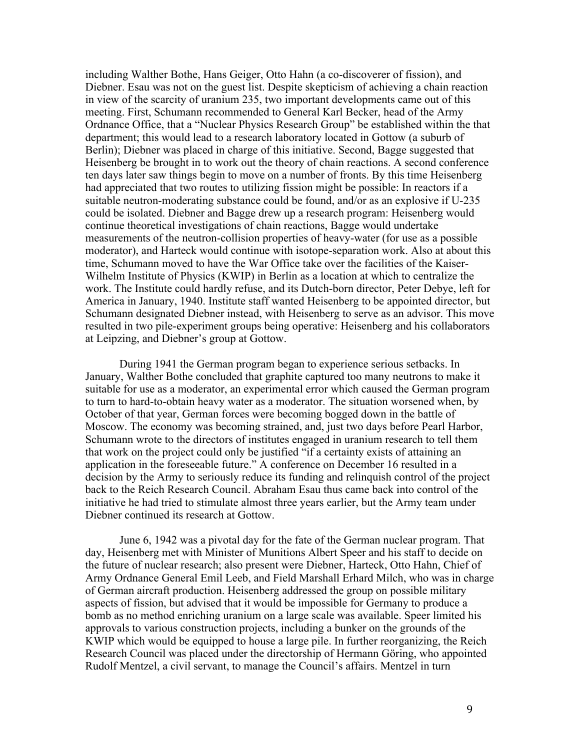including Walther Bothe, Hans Geiger, Otto Hahn (a co-discoverer of fission), and Diebner. Esau was not on the guest list. Despite skepticism of achieving a chain reaction in view of the scarcity of uranium 235, two important developments came out of this meeting. First, Schumann recommended to General Karl Becker, head of the Army Ordnance Office, that a "Nuclear Physics Research Group" be established within the that department; this would lead to a research laboratory located in Gottow (a suburb of Berlin); Diebner was placed in charge of this initiative. Second, Bagge suggested that Heisenberg be brought in to work out the theory of chain reactions. A second conference ten days later saw things begin to move on a number of fronts. By this time Heisenberg had appreciated that two routes to utilizing fission might be possible: In reactors if a suitable neutron-moderating substance could be found, and/or as an explosive if U-235 could be isolated. Diebner and Bagge drew up a research program: Heisenberg would continue theoretical investigations of chain reactions, Bagge would undertake measurements of the neutron-collision properties of heavy-water (for use as a possible moderator), and Harteck would continue with isotope-separation work. Also at about this time, Schumann moved to have the War Office take over the facilities of the Kaiser-Wilhelm Institute of Physics (KWIP) in Berlin as a location at which to centralize the work. The Institute could hardly refuse, and its Dutch-born director, Peter Debye, left for America in January, 1940. Institute staff wanted Heisenberg to be appointed director, but Schumann designated Diebner instead, with Heisenberg to serve as an advisor. This move resulted in two pile-experiment groups being operative: Heisenberg and his collaborators at Leipzing, and Diebner's group at Gottow.

During 1941 the German program began to experience serious setbacks. In January, Walther Bothe concluded that graphite captured too many neutrons to make it suitable for use as a moderator, an experimental error which caused the German program to turn to hard-to-obtain heavy water as a moderator. The situation worsened when, by October of that year, German forces were becoming bogged down in the battle of Moscow. The economy was becoming strained, and, just two days before Pearl Harbor, Schumann wrote to the directors of institutes engaged in uranium research to tell them that work on the project could only be justified "if a certainty exists of attaining an application in the foreseeable future." A conference on December 16 resulted in a decision by the Army to seriously reduce its funding and relinquish control of the project back to the Reich Research Council. Abraham Esau thus came back into control of the initiative he had tried to stimulate almost three years earlier, but the Army team under Diebner continued its research at Gottow.

June 6, 1942 was a pivotal day for the fate of the German nuclear program. That day, Heisenberg met with Minister of Munitions Albert Speer and his staff to decide on the future of nuclear research; also present were Diebner, Harteck, Otto Hahn, Chief of Army Ordnance General Emil Leeb, and Field Marshall Erhard Milch, who was in charge of German aircraft production. Heisenberg addressed the group on possible military aspects of fission, but advised that it would be impossible for Germany to produce a bomb as no method enriching uranium on a large scale was available. Speer limited his approvals to various construction projects, including a bunker on the grounds of the KWIP which would be equipped to house a large pile. In further reorganizing, the Reich Research Council was placed under the directorship of Hermann Göring, who appointed Rudolf Mentzel, a civil servant, to manage the Council's affairs. Mentzel in turn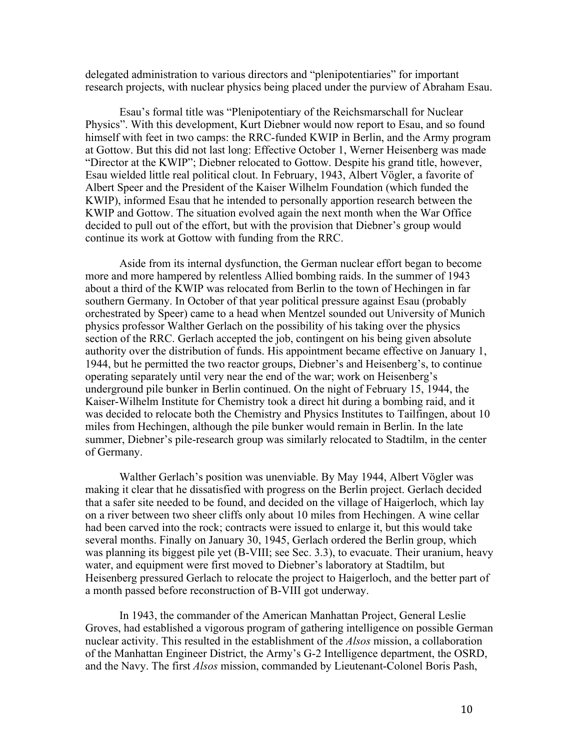delegated administration to various directors and "plenipotentiaries" for important research projects, with nuclear physics being placed under the purview of Abraham Esau.

Esau's formal title was "Plenipotentiary of the Reichsmarschall for Nuclear Physics". With this development, Kurt Diebner would now report to Esau, and so found himself with feet in two camps: the RRC-funded KWIP in Berlin, and the Army program at Gottow. But this did not last long: Effective October 1, Werner Heisenberg was made "Director at the KWIP"; Diebner relocated to Gottow. Despite his grand title, however, Esau wielded little real political clout. In February, 1943, Albert Vögler, a favorite of Albert Speer and the President of the Kaiser Wilhelm Foundation (which funded the KWIP), informed Esau that he intended to personally apportion research between the KWIP and Gottow. The situation evolved again the next month when the War Office decided to pull out of the effort, but with the provision that Diebner's group would continue its work at Gottow with funding from the RRC.

Aside from its internal dysfunction, the German nuclear effort began to become more and more hampered by relentless Allied bombing raids. In the summer of 1943 about a third of the KWIP was relocated from Berlin to the town of Hechingen in far southern Germany. In October of that year political pressure against Esau (probably orchestrated by Speer) came to a head when Mentzel sounded out University of Munich physics professor Walther Gerlach on the possibility of his taking over the physics section of the RRC. Gerlach accepted the job, contingent on his being given absolute authority over the distribution of funds. His appointment became effective on January 1, 1944, but he permitted the two reactor groups, Diebner's and Heisenberg's, to continue operating separately until very near the end of the war; work on Heisenberg's underground pile bunker in Berlin continued. On the night of February 15, 1944, the Kaiser-Wilhelm Institute for Chemistry took a direct hit during a bombing raid, and it was decided to relocate both the Chemistry and Physics Institutes to Tailfingen, about 10 miles from Hechingen, although the pile bunker would remain in Berlin. In the late summer, Diebner's pile-research group was similarly relocated to Stadtilm, in the center of Germany.

Walther Gerlach's position was unenviable. By May 1944, Albert Vögler was making it clear that he dissatisfied with progress on the Berlin project. Gerlach decided that a safer site needed to be found, and decided on the village of Haigerloch, which lay on a river between two sheer cliffs only about 10 miles from Hechingen. A wine cellar had been carved into the rock; contracts were issued to enlarge it, but this would take several months. Finally on January 30, 1945, Gerlach ordered the Berlin group, which was planning its biggest pile yet (B-VIII; see Sec. 3.3), to evacuate. Their uranium, heavy water, and equipment were first moved to Diebner's laboratory at Stadtilm, but Heisenberg pressured Gerlach to relocate the project to Haigerloch, and the better part of a month passed before reconstruction of B-VIII got underway.

In 1943, the commander of the American Manhattan Project, General Leslie Groves, had established a vigorous program of gathering intelligence on possible German nuclear activity. This resulted in the establishment of the *Alsos* mission, a collaboration of the Manhattan Engineer District, the Army's G-2 Intelligence department, the OSRD, and the Navy. The first *Alsos* mission, commanded by Lieutenant-Colonel Boris Pash,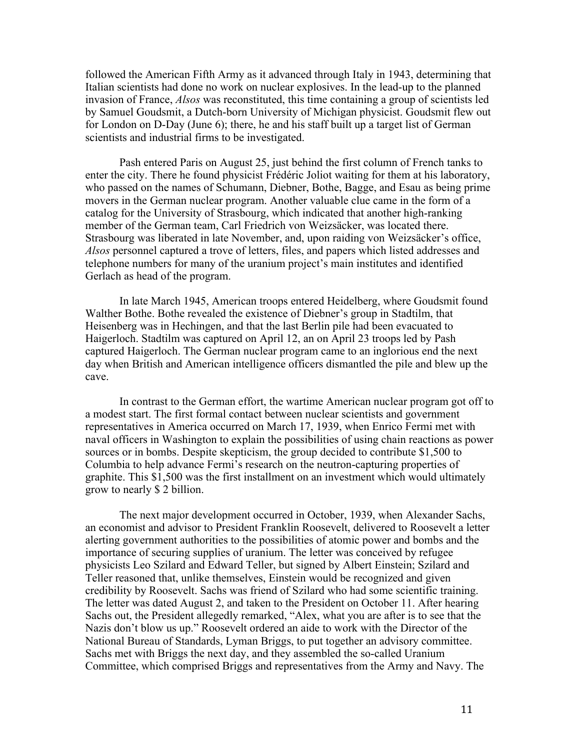followed the American Fifth Army as it advanced through Italy in 1943, determining that Italian scientists had done no work on nuclear explosives. In the lead-up to the planned invasion of France, *Alsos* was reconstituted, this time containing a group of scientists led by Samuel Goudsmit, a Dutch-born University of Michigan physicist. Goudsmit flew out for London on D-Day (June 6); there, he and his staff built up a target list of German scientists and industrial firms to be investigated.

Pash entered Paris on August 25, just behind the first column of French tanks to enter the city. There he found physicist Frédéric Joliot waiting for them at his laboratory, who passed on the names of Schumann, Diebner, Bothe, Bagge, and Esau as being prime movers in the German nuclear program. Another valuable clue came in the form of a catalog for the University of Strasbourg, which indicated that another high-ranking member of the German team, Carl Friedrich von Weizsäcker, was located there. Strasbourg was liberated in late November, and, upon raiding von Weizsäcker's office, *Alsos* personnel captured a trove of letters, files, and papers which listed addresses and telephone numbers for many of the uranium project's main institutes and identified Gerlach as head of the program.

In late March 1945, American troops entered Heidelberg, where Goudsmit found Walther Bothe. Bothe revealed the existence of Diebner's group in Stadtilm, that Heisenberg was in Hechingen, and that the last Berlin pile had been evacuated to Haigerloch. Stadtilm was captured on April 12, an on April 23 troops led by Pash captured Haigerloch. The German nuclear program came to an inglorious end the next day when British and American intelligence officers dismantled the pile and blew up the cave.

In contrast to the German effort, the wartime American nuclear program got off to a modest start. The first formal contact between nuclear scientists and government representatives in America occurred on March 17, 1939, when Enrico Fermi met with naval officers in Washington to explain the possibilities of using chain reactions as power sources or in bombs. Despite skepticism, the group decided to contribute \$1,500 to Columbia to help advance Fermi's research on the neutron-capturing properties of graphite. This \$1,500 was the first installment on an investment which would ultimately grow to nearly \$ 2 billion.

The next major development occurred in October, 1939, when Alexander Sachs, an economist and advisor to President Franklin Roosevelt, delivered to Roosevelt a letter alerting government authorities to the possibilities of atomic power and bombs and the importance of securing supplies of uranium. The letter was conceived by refugee physicists Leo Szilard and Edward Teller, but signed by Albert Einstein; Szilard and Teller reasoned that, unlike themselves, Einstein would be recognized and given credibility by Roosevelt. Sachs was friend of Szilard who had some scientific training. The letter was dated August 2, and taken to the President on October 11. After hearing Sachs out, the President allegedly remarked, "Alex, what you are after is to see that the Nazis don't blow us up." Roosevelt ordered an aide to work with the Director of the National Bureau of Standards, Lyman Briggs, to put together an advisory committee. Sachs met with Briggs the next day, and they assembled the so-called Uranium Committee, which comprised Briggs and representatives from the Army and Navy. The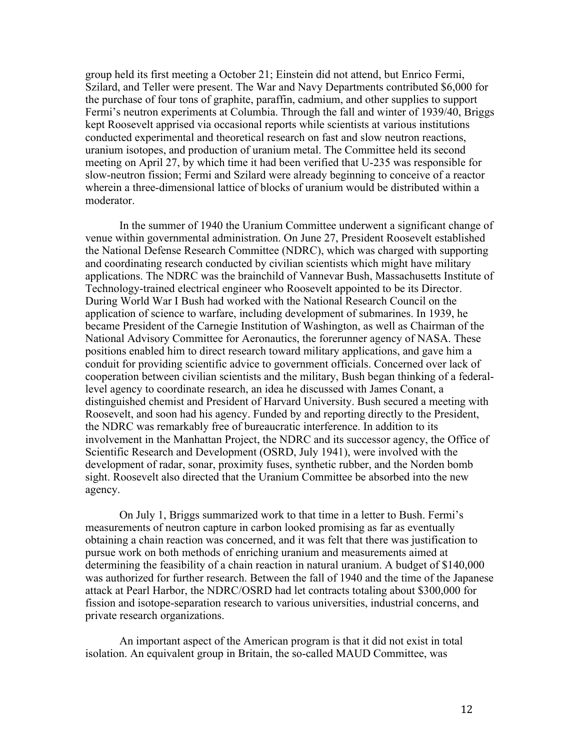group held its first meeting a October 21; Einstein did not attend, but Enrico Fermi, Szilard, and Teller were present. The War and Navy Departments contributed \$6,000 for the purchase of four tons of graphite, paraffin, cadmium, and other supplies to support Fermi's neutron experiments at Columbia. Through the fall and winter of 1939/40, Briggs kept Roosevelt apprised via occasional reports while scientists at various institutions conducted experimental and theoretical research on fast and slow neutron reactions, uranium isotopes, and production of uranium metal. The Committee held its second meeting on April 27, by which time it had been verified that U-235 was responsible for slow-neutron fission; Fermi and Szilard were already beginning to conceive of a reactor wherein a three-dimensional lattice of blocks of uranium would be distributed within a moderator.

In the summer of 1940 the Uranium Committee underwent a significant change of venue within governmental administration. On June 27, President Roosevelt established the National Defense Research Committee (NDRC), which was charged with supporting and coordinating research conducted by civilian scientists which might have military applications. The NDRC was the brainchild of Vannevar Bush, Massachusetts Institute of Technology-trained electrical engineer who Roosevelt appointed to be its Director. During World War I Bush had worked with the National Research Council on the application of science to warfare, including development of submarines. In 1939, he became President of the Carnegie Institution of Washington, as well as Chairman of the National Advisory Committee for Aeronautics, the forerunner agency of NASA. These positions enabled him to direct research toward military applications, and gave him a conduit for providing scientific advice to government officials. Concerned over lack of cooperation between civilian scientists and the military, Bush began thinking of a federallevel agency to coordinate research, an idea he discussed with James Conant, a distinguished chemist and President of Harvard University. Bush secured a meeting with Roosevelt, and soon had his agency. Funded by and reporting directly to the President, the NDRC was remarkably free of bureaucratic interference. In addition to its involvement in the Manhattan Project, the NDRC and its successor agency, the Office of Scientific Research and Development (OSRD, July 1941), were involved with the development of radar, sonar, proximity fuses, synthetic rubber, and the Norden bomb sight. Roosevelt also directed that the Uranium Committee be absorbed into the new agency.

On July 1, Briggs summarized work to that time in a letter to Bush. Fermi's measurements of neutron capture in carbon looked promising as far as eventually obtaining a chain reaction was concerned, and it was felt that there was justification to pursue work on both methods of enriching uranium and measurements aimed at determining the feasibility of a chain reaction in natural uranium. A budget of \$140,000 was authorized for further research. Between the fall of 1940 and the time of the Japanese attack at Pearl Harbor, the NDRC/OSRD had let contracts totaling about \$300,000 for fission and isotope-separation research to various universities, industrial concerns, and private research organizations.

An important aspect of the American program is that it did not exist in total isolation. An equivalent group in Britain, the so-called MAUD Committee, was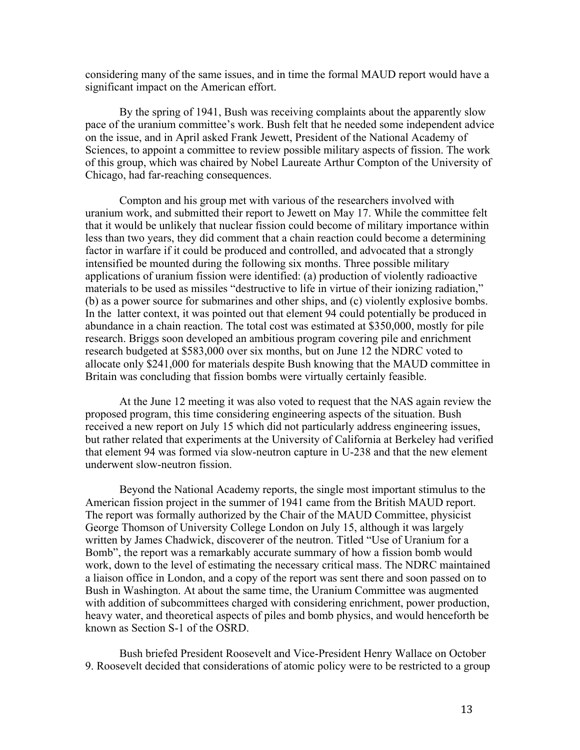considering many of the same issues, and in time the formal MAUD report would have a significant impact on the American effort.

By the spring of 1941, Bush was receiving complaints about the apparently slow pace of the uranium committee's work. Bush felt that he needed some independent advice on the issue, and in April asked Frank Jewett, President of the National Academy of Sciences, to appoint a committee to review possible military aspects of fission. The work of this group, which was chaired by Nobel Laureate Arthur Compton of the University of Chicago, had far-reaching consequences.

Compton and his group met with various of the researchers involved with uranium work, and submitted their report to Jewett on May 17. While the committee felt that it would be unlikely that nuclear fission could become of military importance within less than two years, they did comment that a chain reaction could become a determining factor in warfare if it could be produced and controlled, and advocated that a strongly intensified be mounted during the following six months. Three possible military applications of uranium fission were identified: (a) production of violently radioactive materials to be used as missiles "destructive to life in virtue of their ionizing radiation," (b) as a power source for submarines and other ships, and (c) violently explosive bombs. In the latter context, it was pointed out that element 94 could potentially be produced in abundance in a chain reaction. The total cost was estimated at \$350,000, mostly for pile research. Briggs soon developed an ambitious program covering pile and enrichment research budgeted at \$583,000 over six months, but on June 12 the NDRC voted to allocate only \$241,000 for materials despite Bush knowing that the MAUD committee in Britain was concluding that fission bombs were virtually certainly feasible.

At the June 12 meeting it was also voted to request that the NAS again review the proposed program, this time considering engineering aspects of the situation. Bush received a new report on July 15 which did not particularly address engineering issues, but rather related that experiments at the University of California at Berkeley had verified that element 94 was formed via slow-neutron capture in U-238 and that the new element underwent slow-neutron fission.

Beyond the National Academy reports, the single most important stimulus to the American fission project in the summer of 1941 came from the British MAUD report. The report was formally authorized by the Chair of the MAUD Committee, physicist George Thomson of University College London on July 15, although it was largely written by James Chadwick, discoverer of the neutron. Titled "Use of Uranium for a Bomb", the report was a remarkably accurate summary of how a fission bomb would work, down to the level of estimating the necessary critical mass. The NDRC maintained a liaison office in London, and a copy of the report was sent there and soon passed on to Bush in Washington. At about the same time, the Uranium Committee was augmented with addition of subcommittees charged with considering enrichment, power production, heavy water, and theoretical aspects of piles and bomb physics, and would henceforth be known as Section S-1 of the OSRD.

Bush briefed President Roosevelt and Vice-President Henry Wallace on October 9. Roosevelt decided that considerations of atomic policy were to be restricted to a group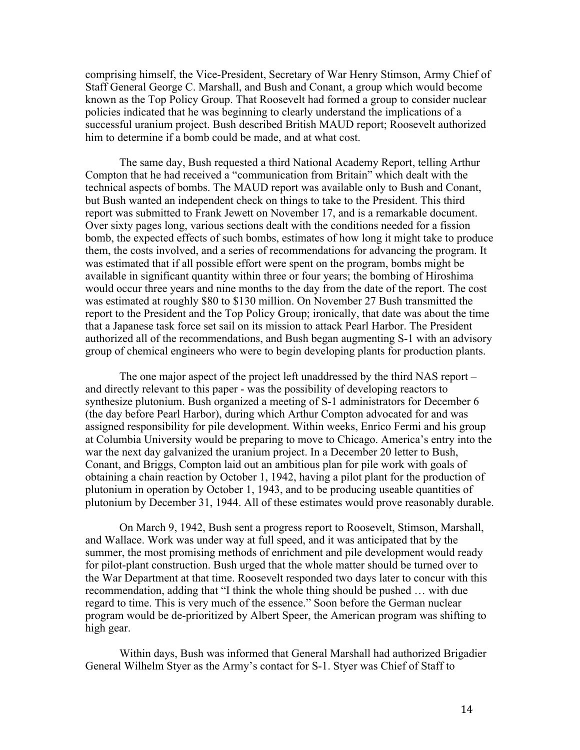comprising himself, the Vice-President, Secretary of War Henry Stimson, Army Chief of Staff General George C. Marshall, and Bush and Conant, a group which would become known as the Top Policy Group. That Roosevelt had formed a group to consider nuclear policies indicated that he was beginning to clearly understand the implications of a successful uranium project. Bush described British MAUD report; Roosevelt authorized him to determine if a bomb could be made, and at what cost.

The same day, Bush requested a third National Academy Report, telling Arthur Compton that he had received a "communication from Britain" which dealt with the technical aspects of bombs. The MAUD report was available only to Bush and Conant, but Bush wanted an independent check on things to take to the President. This third report was submitted to Frank Jewett on November 17, and is a remarkable document. Over sixty pages long, various sections dealt with the conditions needed for a fission bomb, the expected effects of such bombs, estimates of how long it might take to produce them, the costs involved, and a series of recommendations for advancing the program. It was estimated that if all possible effort were spent on the program, bombs might be available in significant quantity within three or four years; the bombing of Hiroshima would occur three years and nine months to the day from the date of the report. The cost was estimated at roughly \$80 to \$130 million. On November 27 Bush transmitted the report to the President and the Top Policy Group; ironically, that date was about the time that a Japanese task force set sail on its mission to attack Pearl Harbor. The President authorized all of the recommendations, and Bush began augmenting S-1 with an advisory group of chemical engineers who were to begin developing plants for production plants.

The one major aspect of the project left unaddressed by the third NAS report – and directly relevant to this paper - was the possibility of developing reactors to synthesize plutonium. Bush organized a meeting of S-1 administrators for December 6 (the day before Pearl Harbor), during which Arthur Compton advocated for and was assigned responsibility for pile development. Within weeks, Enrico Fermi and his group at Columbia University would be preparing to move to Chicago. America's entry into the war the next day galvanized the uranium project. In a December 20 letter to Bush, Conant, and Briggs, Compton laid out an ambitious plan for pile work with goals of obtaining a chain reaction by October 1, 1942, having a pilot plant for the production of plutonium in operation by October 1, 1943, and to be producing useable quantities of plutonium by December 31, 1944. All of these estimates would prove reasonably durable.

On March 9, 1942, Bush sent a progress report to Roosevelt, Stimson, Marshall, and Wallace. Work was under way at full speed, and it was anticipated that by the summer, the most promising methods of enrichment and pile development would ready for pilot-plant construction. Bush urged that the whole matter should be turned over to the War Department at that time. Roosevelt responded two days later to concur with this recommendation, adding that "I think the whole thing should be pushed … with due regard to time. This is very much of the essence." Soon before the German nuclear program would be de-prioritized by Albert Speer, the American program was shifting to high gear.

Within days, Bush was informed that General Marshall had authorized Brigadier General Wilhelm Styer as the Army's contact for S-1. Styer was Chief of Staff to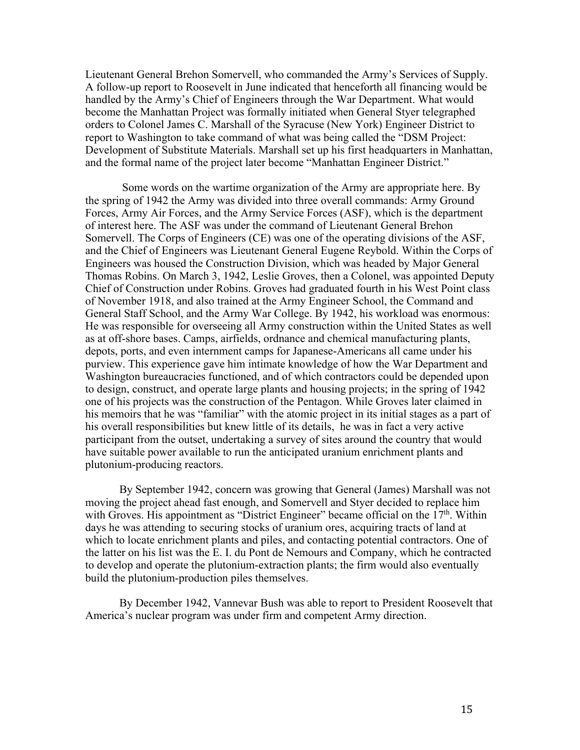Lieutenant General Brehon Somervell, who commanded the Army's Services of Supply. A follow-up report to Roosevelt in June indicated that henceforth all financing would be handled by the Army's Chief of Engineers through the War Department. What would become the Manhattan Project was formally initiated when General Styer telegraphed orders to Colonel James C. Marshall of the Syracuse (New York) Engineer District to report to Washington to take command of what was being called the "DSM Project: Development of Substitute Materials. Marshall set up his first headquarters in Manhattan, and the formal name of the project later become "Manhattan Engineer District."

Some words on the wartime organization of the Army are appropriate here. By the spring of 1942 the Army was divided into three overall commands: Army Ground Forces, Army Air Forces, and the Army Service Forces (ASF), which is the department of interest here. The ASF was under the command of Lieutenant General Brehon Somervell. The Corps of Engineers (CE) was one of the operating divisions of the ASF, and the Chief of Engineers was Lieutenant General Eugene Reybold. Within the Corps of Engineers was housed the Construction Division, which was headed by Major General Thomas Robins. On March 3, 1942, Leslie Groves, then a Colonel, was appointed Deputy Chief of Construction under Robins. Groves had graduated fourth in his West Point class of November 1918, and also trained at the Army Engineer School, the Command and General Staff School, and the Army War College. By 1942, his workload was enormous: He was responsible for overseeing all Army construction within the United States as well as at off-shore bases. Camps, airfields, ordnance and chemical manufacturing plants, depots, ports, and even internment camps for Japanese-Americans all came under his purview. This experience gave him intimate knowledge of how the War Department and Washington bureaucracies functioned, and of which contractors could be depended upon to design, construct, and operate large plants and housing projects; in the spring of 1942 one of his projects was the construction of the Pentagon. While Groves later claimed in his memoirs that he was "familiar" with the atomic project in its initial stages as a part of his overall responsibilities but knew little of its details, he was in fact a very active participant from the outset, undertaking a survey of sites around the country that would have suitable power available to run the anticipated uranium enrichment plants and plutonium-producing reactors.

By September 1942, concern was growing that General (James) Marshall was not moving the project ahead fast enough, and Somervell and Styer decided to replace him with Groves. His appointment as "District Engineer" became official on the  $17<sup>th</sup>$ . Within days he was attending to securing stocks of uranium ores, acquiring tracts of land at which to locate enrichment plants and piles, and contacting potential contractors. One of the latter on his list was the E. I. du Pont de Nemours and Company, which he contracted to develop and operate the plutonium-extraction plants; the firm would also eventually build the plutonium-production piles themselves.

By December 1942, Vannevar Bush was able to report to President Roosevelt that America's nuclear program was under firm and competent Army direction.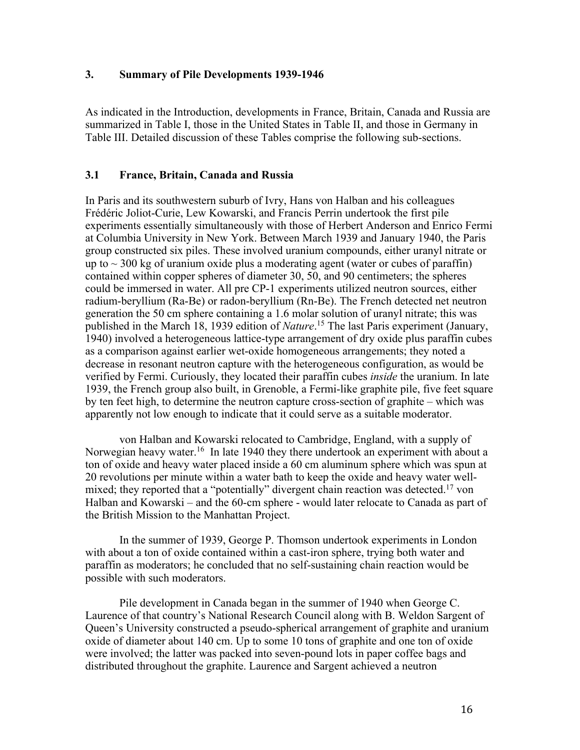#### **3. Summary of Pile Developments 1939-1946**

As indicated in the Introduction, developments in France, Britain, Canada and Russia are summarized in Table I, those in the United States in Table II, and those in Germany in Table III. Detailed discussion of these Tables comprise the following sub-sections.

### **3.1 France, Britain, Canada and Russia**

In Paris and its southwestern suburb of Ivry, Hans von Halban and his colleagues Frédéric Joliot-Curie, Lew Kowarski, and Francis Perrin undertook the first pile experiments essentially simultaneously with those of Herbert Anderson and Enrico Fermi at Columbia University in New York. Between March 1939 and January 1940, the Paris group constructed six piles. These involved uranium compounds, either uranyl nitrate or up to  $\sim$  300 kg of uranium oxide plus a moderating agent (water or cubes of paraffin) contained within copper spheres of diameter 30, 50, and 90 centimeters; the spheres could be immersed in water. All pre CP-1 experiments utilized neutron sources, either radium-beryllium (Ra-Be) or radon-beryllium (Rn-Be). The French detected net neutron generation the 50 cm sphere containing a 1.6 molar solution of uranyl nitrate; this was published in the March 18, 1939 edition of *Nature*. <sup>15</sup> The last Paris experiment (January, 1940) involved a heterogeneous lattice-type arrangement of dry oxide plus paraffin cubes as a comparison against earlier wet-oxide homogeneous arrangements; they noted a decrease in resonant neutron capture with the heterogeneous configuration, as would be verified by Fermi. Curiously, they located their paraffin cubes *inside* the uranium. In late 1939, the French group also built, in Grenoble, a Fermi-like graphite pile, five feet square by ten feet high, to determine the neutron capture cross-section of graphite – which was apparently not low enough to indicate that it could serve as a suitable moderator.

von Halban and Kowarski relocated to Cambridge, England, with a supply of Norwegian heavy water.<sup>16</sup> In late 1940 they there undertook an experiment with about a ton of oxide and heavy water placed inside a 60 cm aluminum sphere which was spun at 20 revolutions per minute within a water bath to keep the oxide and heavy water wellmixed; they reported that a "potentially" divergent chain reaction was detected.<sup>17</sup> von Halban and Kowarski – and the 60-cm sphere - would later relocate to Canada as part of the British Mission to the Manhattan Project.

In the summer of 1939, George P. Thomson undertook experiments in London with about a ton of oxide contained within a cast-iron sphere, trying both water and paraffin as moderators; he concluded that no self-sustaining chain reaction would be possible with such moderators.

Pile development in Canada began in the summer of 1940 when George C. Laurence of that country's National Research Council along with B. Weldon Sargent of Queen's University constructed a pseudo-spherical arrangement of graphite and uranium oxide of diameter about 140 cm. Up to some 10 tons of graphite and one ton of oxide were involved; the latter was packed into seven-pound lots in paper coffee bags and distributed throughout the graphite. Laurence and Sargent achieved a neutron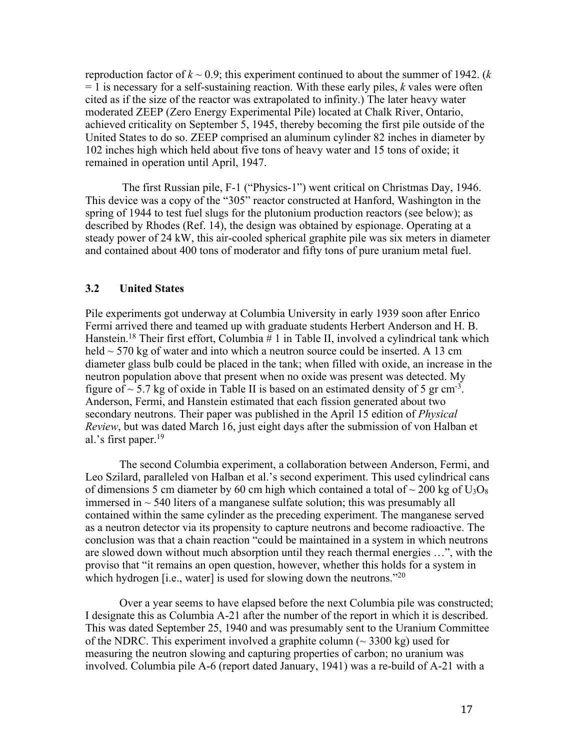reproduction factor of  $k \sim 0.9$ ; this experiment continued to about the summer of 1942. ( $k$ = 1 is necessary for a self-sustaining reaction. With these early piles, *k* vales were often cited as if the size of the reactor was extrapolated to infinity.) The later heavy water moderated ZEEP (Zero Energy Experimental Pile) located at Chalk River, Ontario, achieved criticality on September 5, 1945, thereby becoming the first pile outside of the United States to do so. ZEEP comprised an aluminum cylinder 82 inches in diameter by 102 inches high which held about five tons of heavy water and 15 tons of oxide; it remained in operation until April, 1947.

The first Russian pile, F-1 ("Physics-1") went critical on Christmas Day, 1946. This device was a copy of the "305" reactor constructed at Hanford, Washington in the spring of 1944 to test fuel slugs for the plutonium production reactors (see below); as described by Rhodes (Ref. 14), the design was obtained by espionage. Operating at a steady power of 24 kW, this air-cooled spherical graphite pile was six meters in diameter and contained about 400 tons of moderator and fifty tons of pure uranium metal fuel.

### **3.2 United States**

Pile experiments got underway at Columbia University in early 1939 soon after Enrico Fermi arrived there and teamed up with graduate students Herbert Anderson and H. B. Hanstein.<sup>18</sup> Their first effort, Columbia # 1 in Table II, involved a cylindrical tank which held  $\sim$  570 kg of water and into which a neutron source could be inserted. A 13 cm diameter glass bulb could be placed in the tank; when filled with oxide, an increase in the neutron population above that present when no oxide was present was detected. My figure of  $\sim$  5.7 kg of oxide in Table II is based on an estimated density of 5 gr cm<sup>-3</sup>. Anderson, Fermi, and Hanstein estimated that each fission generated about two secondary neutrons. Their paper was published in the April 15 edition of *Physical Review*, but was dated March 16, just eight days after the submission of von Halban et al.'s first paper.<sup>19</sup>

The second Columbia experiment, a collaboration between Anderson, Fermi, and Leo Szilard, paralleled von Halban et al.'s second experiment. This used cylindrical cans of dimensions 5 cm diameter by 60 cm high which contained a total of  $\sim$  200 kg of U<sub>3</sub>O<sub>8</sub> immersed in  $\sim$  540 liters of a manganese sulfate solution; this was presumably all contained within the same cylinder as the preceding experiment. The manganese served as a neutron detector via its propensity to capture neutrons and become radioactive. The conclusion was that a chain reaction "could be maintained in a system in which neutrons are slowed down without much absorption until they reach thermal energies …", with the proviso that "it remains an open question, however, whether this holds for a system in which hydrogen [i.e., water] is used for slowing down the neutrons."<sup>20</sup>

Over a year seems to have elapsed before the next Columbia pile was constructed; I designate this as Columbia A-21 after the number of the report in which it is described. This was dated September 25, 1940 and was presumably sent to the Uranium Committee of the NDRC. This experiment involved a graphite column  $(\sim 3300 \text{ kg})$  used for measuring the neutron slowing and capturing properties of carbon; no uranium was involved. Columbia pile A-6 (report dated January, 1941) was a re-build of A-21 with a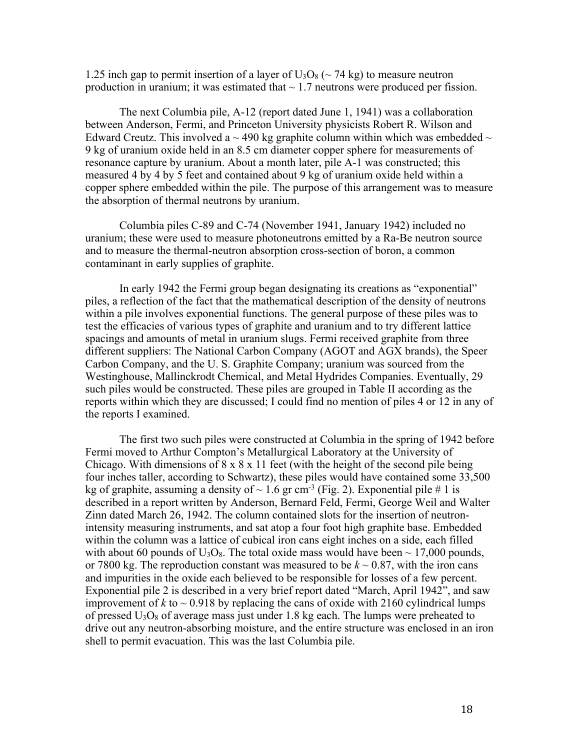1.25 inch gap to permit insertion of a layer of  $U_3O_8$  ( $\sim$  74 kg) to measure neutron production in uranium; it was estimated that  $\sim 1.7$  neutrons were produced per fission.

The next Columbia pile, A-12 (report dated June 1, 1941) was a collaboration between Anderson, Fermi, and Princeton University physicists Robert R. Wilson and Edward Creutz. This involved a  $\sim$  490 kg graphite column within which was embedded  $\sim$ 9 kg of uranium oxide held in an 8.5 cm diameter copper sphere for measurements of resonance capture by uranium. About a month later, pile A-1 was constructed; this measured 4 by 4 by 5 feet and contained about 9 kg of uranium oxide held within a copper sphere embedded within the pile. The purpose of this arrangement was to measure the absorption of thermal neutrons by uranium.

Columbia piles C-89 and C-74 (November 1941, January 1942) included no uranium; these were used to measure photoneutrons emitted by a Ra-Be neutron source and to measure the thermal-neutron absorption cross-section of boron, a common contaminant in early supplies of graphite.

In early 1942 the Fermi group began designating its creations as "exponential" piles, a reflection of the fact that the mathematical description of the density of neutrons within a pile involves exponential functions. The general purpose of these piles was to test the efficacies of various types of graphite and uranium and to try different lattice spacings and amounts of metal in uranium slugs. Fermi received graphite from three different suppliers: The National Carbon Company (AGOT and AGX brands), the Speer Carbon Company, and the U. S. Graphite Company; uranium was sourced from the Westinghouse, Mallinckrodt Chemical, and Metal Hydrides Companies. Eventually, 29 such piles would be constructed. These piles are grouped in Table II according as the reports within which they are discussed; I could find no mention of piles 4 or 12 in any of the reports I examined.

The first two such piles were constructed at Columbia in the spring of 1942 before Fermi moved to Arthur Compton's Metallurgical Laboratory at the University of Chicago. With dimensions of  $8 \times 8 \times 11$  feet (with the height of the second pile being four inches taller, according to Schwartz), these piles would have contained some 33,500 kg of graphite, assuming a density of  $\sim 1.6$  gr cm<sup>-3</sup> (Fig. 2). Exponential pile # 1 is described in a report written by Anderson, Bernard Feld, Fermi, George Weil and Walter Zinn dated March 26, 1942. The column contained slots for the insertion of neutronintensity measuring instruments, and sat atop a four foot high graphite base. Embedded within the column was a lattice of cubical iron cans eight inches on a side, each filled with about 60 pounds of  $U_3O_8$ . The total oxide mass would have been  $\sim 17,000$  pounds, or 7800 kg. The reproduction constant was measured to be  $k \sim 0.87$ , with the iron cans and impurities in the oxide each believed to be responsible for losses of a few percent. Exponential pile 2 is described in a very brief report dated "March, April 1942", and saw improvement of  $k$  to  $\sim$  0.918 by replacing the cans of oxide with 2160 cylindrical lumps of pressed  $U_3O_8$  of average mass just under 1.8 kg each. The lumps were preheated to drive out any neutron-absorbing moisture, and the entire structure was enclosed in an iron shell to permit evacuation. This was the last Columbia pile.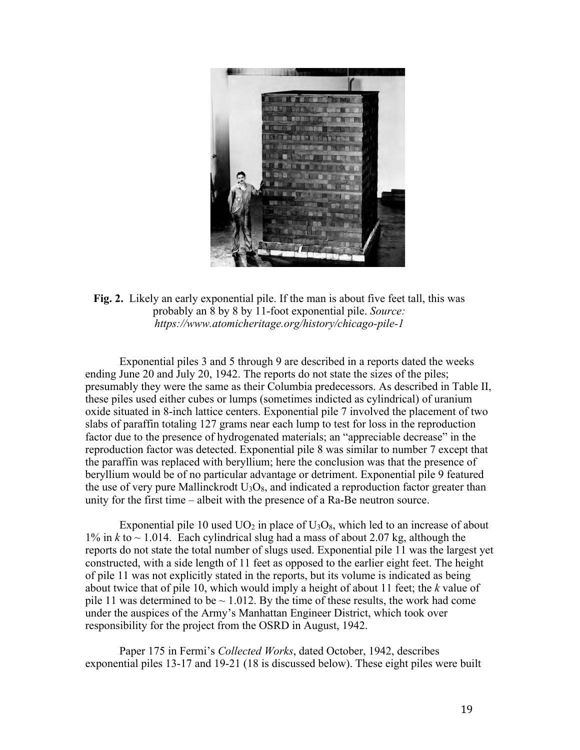

**Fig. 2.** Likely an early exponential pile. If the man is about five feet tall, this was probably an 8 by 8 by 11-foot exponential pile. *Source: https://www.atomicheritage.org/history/chicago-pile-1*

Exponential piles 3 and 5 through 9 are described in a reports dated the weeks ending June 20 and July 20, 1942. The reports do not state the sizes of the piles; presumably they were the same as their Columbia predecessors. As described in Table II, these piles used either cubes or lumps (sometimes indicted as cylindrical) of uranium oxide situated in 8-inch lattice centers. Exponential pile 7 involved the placement of two slabs of paraffin totaling 127 grams near each lump to test for loss in the reproduction factor due to the presence of hydrogenated materials; an "appreciable decrease" in the reproduction factor was detected. Exponential pile 8 was similar to number 7 except that the paraffin was replaced with beryllium; here the conclusion was that the presence of beryllium would be of no particular advantage or detriment. Exponential pile 9 featured the use of very pure Mallinckrodt  $U_3O_8$ , and indicated a reproduction factor greater than unity for the first time – albeit with the presence of a Ra-Be neutron source.

Exponential pile 10 used  $UO<sub>2</sub>$  in place of  $U<sub>3</sub>O<sub>8</sub>$ , which led to an increase of about 1% in  $k$  to  $\sim$  1.014. Each cylindrical slug had a mass of about 2.07 kg, although the reports do not state the total number of slugs used. Exponential pile 11 was the largest yet constructed, with a side length of 11 feet as opposed to the earlier eight feet. The height of pile 11 was not explicitly stated in the reports, but its volume is indicated as being about twice that of pile 10, which would imply a height of about 11 feet; the *k* value of pile 11 was determined to be  $\sim$  1.012. By the time of these results, the work had come under the auspices of the Army's Manhattan Engineer District, which took over responsibility for the project from the OSRD in August, 1942.

Paper 175 in Fermi's *Collected Works*, dated October, 1942, describes exponential piles 13-17 and 19-21 (18 is discussed below). These eight piles were built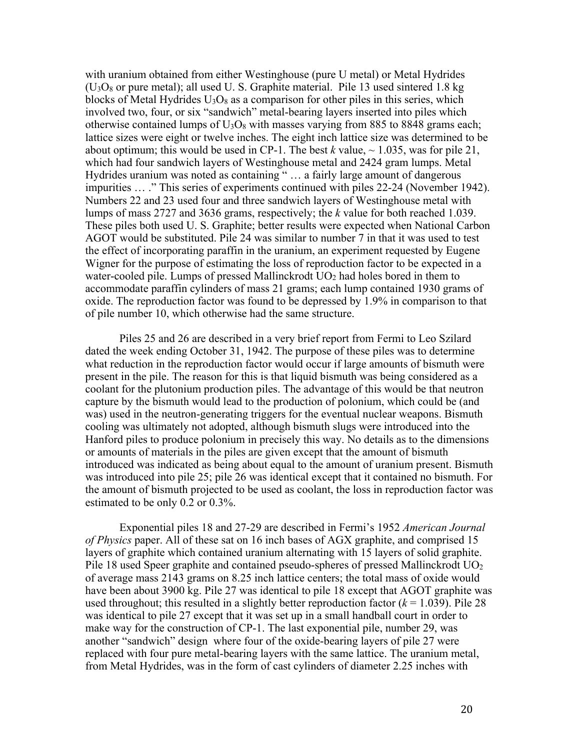with uranium obtained from either Westinghouse (pure U metal) or Metal Hydrides  $(U<sub>3</sub>O<sub>8</sub>$  or pure metal); all used U. S. Graphite material. Pile 13 used sintered 1.8 kg blocks of Metal Hydrides  $U_3O_8$  as a comparison for other piles in this series, which involved two, four, or six "sandwich" metal-bearing layers inserted into piles which otherwise contained lumps of  $U_3O_8$  with masses varying from 885 to 8848 grams each; lattice sizes were eight or twelve inches. The eight inch lattice size was determined to be about optimum; this would be used in CP-1. The best  $k$  value,  $\sim$  1.035, was for pile 21, which had four sandwich layers of Westinghouse metal and 2424 gram lumps. Metal Hydrides uranium was noted as containing " … a fairly large amount of dangerous impurities … ." This series of experiments continued with piles 22-24 (November 1942). Numbers 22 and 23 used four and three sandwich layers of Westinghouse metal with lumps of mass 2727 and 3636 grams, respectively; the *k* value for both reached 1.039. These piles both used U. S. Graphite; better results were expected when National Carbon AGOT would be substituted. Pile 24 was similar to number 7 in that it was used to test the effect of incorporating paraffin in the uranium, an experiment requested by Eugene Wigner for the purpose of estimating the loss of reproduction factor to be expected in a water-cooled pile. Lumps of pressed Mallinckrodt  $UO<sub>2</sub>$  had holes bored in them to accommodate paraffin cylinders of mass 21 grams; each lump contained 1930 grams of oxide. The reproduction factor was found to be depressed by 1.9% in comparison to that of pile number 10, which otherwise had the same structure.

Piles 25 and 26 are described in a very brief report from Fermi to Leo Szilard dated the week ending October 31, 1942. The purpose of these piles was to determine what reduction in the reproduction factor would occur if large amounts of bismuth were present in the pile. The reason for this is that liquid bismuth was being considered as a coolant for the plutonium production piles. The advantage of this would be that neutron capture by the bismuth would lead to the production of polonium, which could be (and was) used in the neutron-generating triggers for the eventual nuclear weapons. Bismuth cooling was ultimately not adopted, although bismuth slugs were introduced into the Hanford piles to produce polonium in precisely this way. No details as to the dimensions or amounts of materials in the piles are given except that the amount of bismuth introduced was indicated as being about equal to the amount of uranium present. Bismuth was introduced into pile 25; pile 26 was identical except that it contained no bismuth. For the amount of bismuth projected to be used as coolant, the loss in reproduction factor was estimated to be only 0.2 or 0.3%.

Exponential piles 18 and 27-29 are described in Fermi's 1952 *American Journal of Physics* paper. All of these sat on 16 inch bases of AGX graphite, and comprised 15 layers of graphite which contained uranium alternating with 15 layers of solid graphite. Pile 18 used Speer graphite and contained pseudo-spheres of pressed Mallinckrodt UO<sub>2</sub> of average mass 2143 grams on 8.25 inch lattice centers; the total mass of oxide would have been about 3900 kg. Pile 27 was identical to pile 18 except that AGOT graphite was used throughout; this resulted in a slightly better reproduction factor  $(k = 1.039)$ . Pile 28 was identical to pile 27 except that it was set up in a small handball court in order to make way for the construction of CP-1. The last exponential pile, number 29, was another "sandwich" design where four of the oxide-bearing layers of pile 27 were replaced with four pure metal-bearing layers with the same lattice. The uranium metal, from Metal Hydrides, was in the form of cast cylinders of diameter 2.25 inches with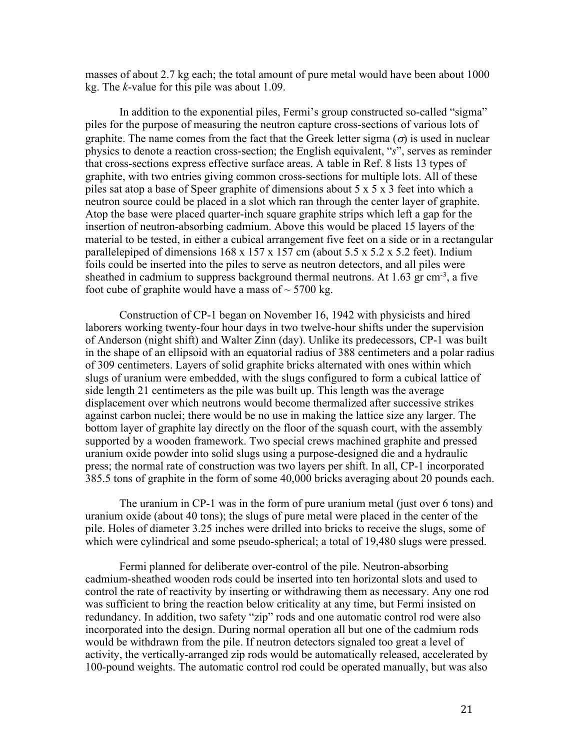masses of about 2.7 kg each; the total amount of pure metal would have been about 1000 kg. The *k*-value for this pile was about 1.09.

In addition to the exponential piles, Fermi's group constructed so-called "sigma" piles for the purpose of measuring the neutron capture cross-sections of various lots of graphite. The name comes from the fact that the Greek letter sigma ( $\sigma$ ) is used in nuclear physics to denote a reaction cross-section; the English equivalent, "*s*", serves as reminder that cross-sections express effective surface areas. A table in Ref. 8 lists 13 types of graphite, with two entries giving common cross-sections for multiple lots. All of these piles sat atop a base of Speer graphite of dimensions about 5 x 5 x 3 feet into which a neutron source could be placed in a slot which ran through the center layer of graphite. Atop the base were placed quarter-inch square graphite strips which left a gap for the insertion of neutron-absorbing cadmium. Above this would be placed 15 layers of the material to be tested, in either a cubical arrangement five feet on a side or in a rectangular parallelepiped of dimensions  $168 \times 157 \times 157$  cm (about  $5.5 \times 5.2 \times 5.2$  feet). Indium foils could be inserted into the piles to serve as neutron detectors, and all piles were sheathed in cadmium to suppress background thermal neutrons. At 1.63 gr cm<sup>-3</sup>, a five foot cube of graphite would have a mass of  $\sim$  5700 kg.

Construction of CP-1 began on November 16, 1942 with physicists and hired laborers working twenty-four hour days in two twelve-hour shifts under the supervision of Anderson (night shift) and Walter Zinn (day). Unlike its predecessors, CP-1 was built in the shape of an ellipsoid with an equatorial radius of 388 centimeters and a polar radius of 309 centimeters. Layers of solid graphite bricks alternated with ones within which slugs of uranium were embedded, with the slugs configured to form a cubical lattice of side length 21 centimeters as the pile was built up. This length was the average displacement over which neutrons would become thermalized after successive strikes against carbon nuclei; there would be no use in making the lattice size any larger. The bottom layer of graphite lay directly on the floor of the squash court, with the assembly supported by a wooden framework. Two special crews machined graphite and pressed uranium oxide powder into solid slugs using a purpose-designed die and a hydraulic press; the normal rate of construction was two layers per shift. In all, CP-1 incorporated 385.5 tons of graphite in the form of some 40,000 bricks averaging about 20 pounds each.

The uranium in CP-1 was in the form of pure uranium metal (just over 6 tons) and uranium oxide (about 40 tons); the slugs of pure metal were placed in the center of the pile. Holes of diameter 3.25 inches were drilled into bricks to receive the slugs, some of which were cylindrical and some pseudo-spherical; a total of 19,480 slugs were pressed.

Fermi planned for deliberate over-control of the pile. Neutron-absorbing cadmium-sheathed wooden rods could be inserted into ten horizontal slots and used to control the rate of reactivity by inserting or withdrawing them as necessary. Any one rod was sufficient to bring the reaction below criticality at any time, but Fermi insisted on redundancy. In addition, two safety "zip" rods and one automatic control rod were also incorporated into the design. During normal operation all but one of the cadmium rods would be withdrawn from the pile. If neutron detectors signaled too great a level of activity, the vertically-arranged zip rods would be automatically released, accelerated by 100-pound weights. The automatic control rod could be operated manually, but was also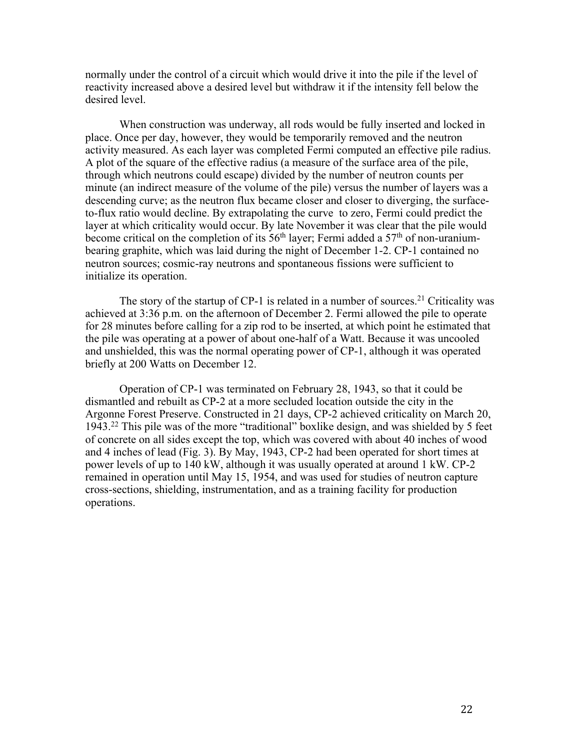normally under the control of a circuit which would drive it into the pile if the level of reactivity increased above a desired level but withdraw it if the intensity fell below the desired level.

When construction was underway, all rods would be fully inserted and locked in place. Once per day, however, they would be temporarily removed and the neutron activity measured. As each layer was completed Fermi computed an effective pile radius. A plot of the square of the effective radius (a measure of the surface area of the pile, through which neutrons could escape) divided by the number of neutron counts per minute (an indirect measure of the volume of the pile) versus the number of layers was a descending curve; as the neutron flux became closer and closer to diverging, the surfaceto-flux ratio would decline. By extrapolating the curve to zero, Fermi could predict the layer at which criticality would occur. By late November it was clear that the pile would become critical on the completion of its  $56<sup>th</sup>$  layer; Fermi added a  $57<sup>th</sup>$  of non-uraniumbearing graphite, which was laid during the night of December 1-2. CP-1 contained no neutron sources; cosmic-ray neutrons and spontaneous fissions were sufficient to initialize its operation.

The story of the startup of  $CP-1$  is related in a number of sources.<sup>21</sup> Criticality was achieved at 3:36 p.m. on the afternoon of December 2. Fermi allowed the pile to operate for 28 minutes before calling for a zip rod to be inserted, at which point he estimated that the pile was operating at a power of about one-half of a Watt. Because it was uncooled and unshielded, this was the normal operating power of CP-1, although it was operated briefly at 200 Watts on December 12.

Operation of CP-1 was terminated on February 28, 1943, so that it could be dismantled and rebuilt as CP-2 at a more secluded location outside the city in the Argonne Forest Preserve. Constructed in 21 days, CP-2 achieved criticality on March 20, 1943.22 This pile was of the more "traditional" boxlike design, and was shielded by 5 feet of concrete on all sides except the top, which was covered with about 40 inches of wood and 4 inches of lead (Fig. 3). By May, 1943, CP-2 had been operated for short times at power levels of up to 140 kW, although it was usually operated at around 1 kW. CP-2 remained in operation until May 15, 1954, and was used for studies of neutron capture cross-sections, shielding, instrumentation, and as a training facility for production operations.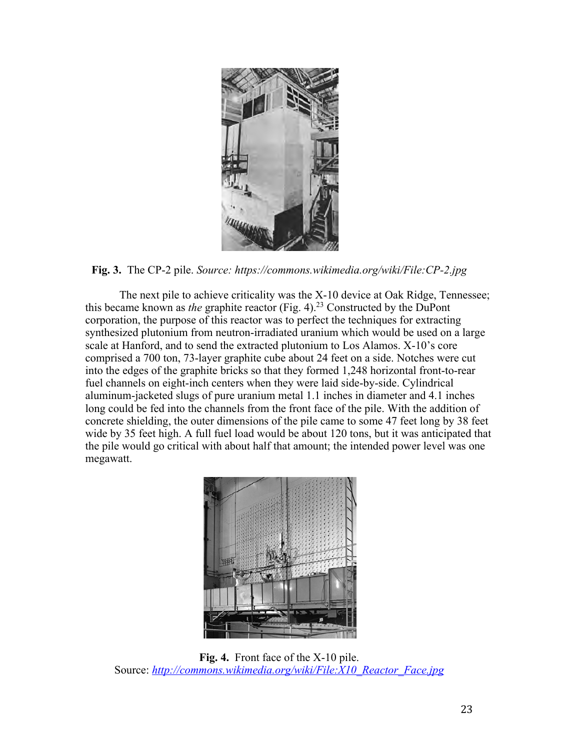

## **Fig. 3.** The CP-2 pile. *Source: https://commons.wikimedia.org/wiki/File:CP-2.jpg*

The next pile to achieve criticality was the X-10 device at Oak Ridge, Tennessee; this became known as *the* graphite reactor (Fig. 4). <sup>23</sup> Constructed by the DuPont corporation, the purpose of this reactor was to perfect the techniques for extracting synthesized plutonium from neutron-irradiated uranium which would be used on a large scale at Hanford, and to send the extracted plutonium to Los Alamos. X-10's core comprised a 700 ton, 73-layer graphite cube about 24 feet on a side. Notches were cut into the edges of the graphite bricks so that they formed 1,248 horizontal front-to-rear fuel channels on eight-inch centers when they were laid side-by-side. Cylindrical aluminum-jacketed slugs of pure uranium metal 1.1 inches in diameter and 4.1 inches long could be fed into the channels from the front face of the pile. With the addition of concrete shielding, the outer dimensions of the pile came to some 47 feet long by 38 feet wide by 35 feet high. A full fuel load would be about 120 tons, but it was anticipated that the pile would go critical with about half that amount; the intended power level was one megawatt.



**Fig. 4.** Front face of the X-10 pile. Source: http://commons.wikimedia.org/wiki/File:X10\_Reactor\_Face.jpg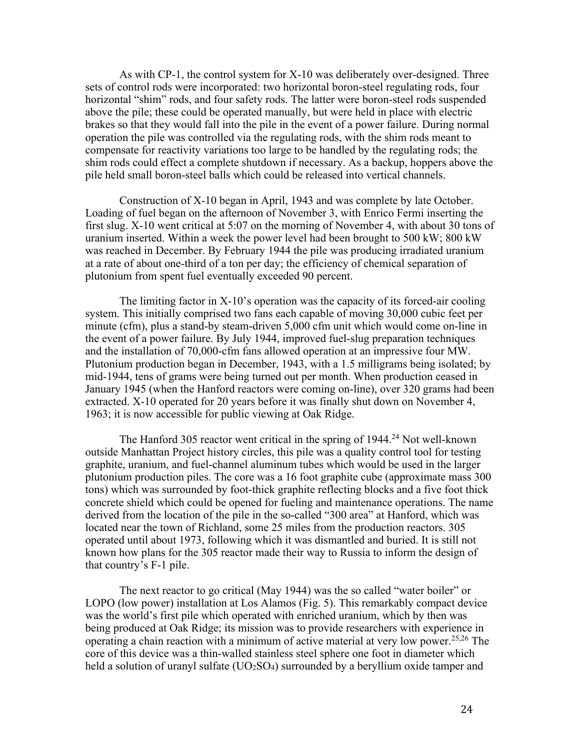As with CP-1, the control system for X-10 was deliberately over-designed. Three sets of control rods were incorporated: two horizontal boron-steel regulating rods, four horizontal "shim" rods, and four safety rods. The latter were boron-steel rods suspended above the pile; these could be operated manually, but were held in place with electric brakes so that they would fall into the pile in the event of a power failure. During normal operation the pile was controlled via the regulating rods, with the shim rods meant to compensate for reactivity variations too large to be handled by the regulating rods; the shim rods could effect a complete shutdown if necessary. As a backup, hoppers above the pile held small boron-steel balls which could be released into vertical channels.

Construction of X-10 began in April, 1943 and was complete by late October. Loading of fuel began on the afternoon of November 3, with Enrico Fermi inserting the first slug. X-10 went critical at 5:07 on the morning of November 4, with about 30 tons of uranium inserted. Within a week the power level had been brought to 500 kW; 800 kW was reached in December. By February 1944 the pile was producing irradiated uranium at a rate of about one-third of a ton per day; the efficiency of chemical separation of plutonium from spent fuel eventually exceeded 90 percent.

The limiting factor in X-10's operation was the capacity of its forced-air cooling system. This initially comprised two fans each capable of moving 30,000 cubic feet per minute (cfm), plus a stand-by steam-driven 5,000 cfm unit which would come on-line in the event of a power failure. By July 1944, improved fuel-slug preparation techniques and the installation of 70,000-cfm fans allowed operation at an impressive four MW. Plutonium production began in December, 1943, with a 1.5 milligrams being isolated; by mid-1944, tens of grams were being turned out per month. When production ceased in January 1945 (when the Hanford reactors were coming on-line), over 320 grams had been extracted. X-10 operated for 20 years before it was finally shut down on November 4, 1963; it is now accessible for public viewing at Oak Ridge.

The Hanford 305 reactor went critical in the spring of 1944.<sup>24</sup> Not well-known outside Manhattan Project history circles, this pile was a quality control tool for testing graphite, uranium, and fuel-channel aluminum tubes which would be used in the larger plutonium production piles. The core was a 16 foot graphite cube (approximate mass 300 tons) which was surrounded by foot-thick graphite reflecting blocks and a five foot thick concrete shield which could be opened for fueling and maintenance operations. The name derived from the location of the pile in the so-called "300 area" at Hanford, which was located near the town of Richland, some 25 miles from the production reactors. 305 operated until about 1973, following which it was dismantled and buried. It is still not known how plans for the 305 reactor made their way to Russia to inform the design of that country's F-1 pile.

The next reactor to go critical (May 1944) was the so called "water boiler" or LOPO (low power) installation at Los Alamos (Fig. 5). This remarkably compact device was the world's first pile which operated with enriched uranium, which by then was being produced at Oak Ridge; its mission was to provide researchers with experience in operating a chain reaction with a minimum of active material at very low power. 25,26 The core of this device was a thin-walled stainless steel sphere one foot in diameter which held a solution of uranyl sulfate  $(UO_2SO_4)$  surrounded by a beryllium oxide tamper and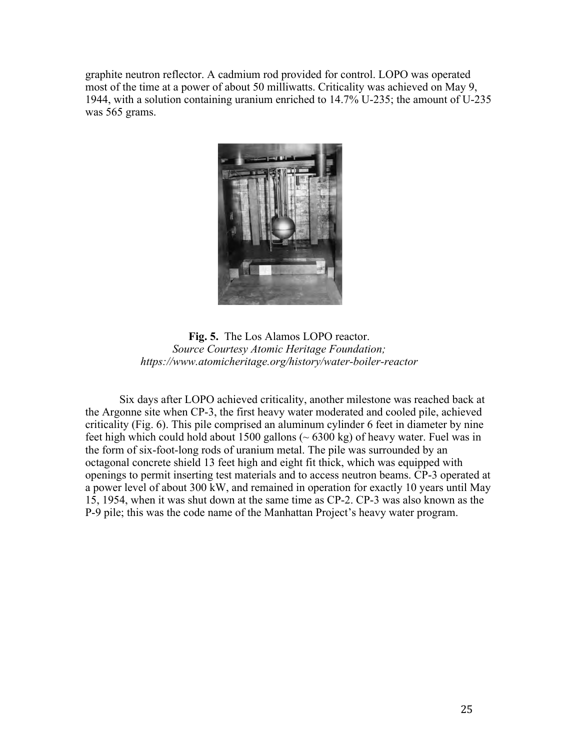graphite neutron reflector. A cadmium rod provided for control. LOPO was operated most of the time at a power of about 50 milliwatts. Criticality was achieved on May 9, 1944, with a solution containing uranium enriched to 14.7% U-235; the amount of U-235 was 565 grams.



**Fig. 5.** The Los Alamos LOPO reactor. *Source Courtesy Atomic Heritage Foundation; https://www.atomicheritage.org/history/water-boiler-reactor*

Six days after LOPO achieved criticality, another milestone was reached back at the Argonne site when CP-3, the first heavy water moderated and cooled pile, achieved criticality (Fig. 6). This pile comprised an aluminum cylinder 6 feet in diameter by nine feet high which could hold about 1500 gallons  $({\sim}6300 \text{ kg})$  of heavy water. Fuel was in the form of six-foot-long rods of uranium metal. The pile was surrounded by an octagonal concrete shield 13 feet high and eight fit thick, which was equipped with openings to permit inserting test materials and to access neutron beams. CP-3 operated at a power level of about 300 kW, and remained in operation for exactly 10 years until May 15, 1954, when it was shut down at the same time as CP-2. CP-3 was also known as the P-9 pile; this was the code name of the Manhattan Project's heavy water program.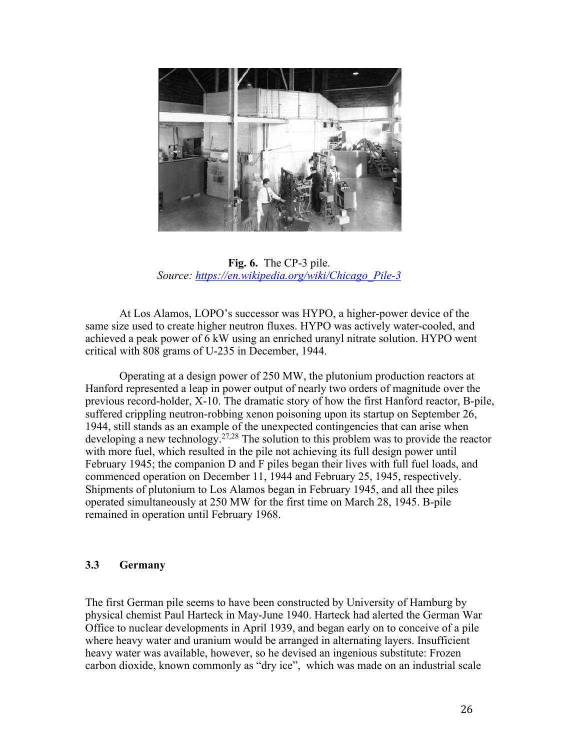

**Fig. 6.** The CP-3 pile. *Source: https://en.wikipedia.org/wiki/Chicago\_Pile-3*

At Los Alamos, LOPO's successor was HYPO, a higher-power device of the same size used to create higher neutron fluxes. HYPO was actively water-cooled, and achieved a peak power of 6 kW using an enriched uranyl nitrate solution. HYPO went critical with 808 grams of U-235 in December, 1944.

Operating at a design power of 250 MW, the plutonium production reactors at Hanford represented a leap in power output of nearly two orders of magnitude over the previous record-holder, X-10. The dramatic story of how the first Hanford reactor, B-pile, suffered crippling neutron-robbing xenon poisoning upon its startup on September 26, 1944, still stands as an example of the unexpected contingencies that can arise when developing a new technology.<sup>27,28</sup> The solution to this problem was to provide the reactor with more fuel, which resulted in the pile not achieving its full design power until February 1945; the companion D and F piles began their lives with full fuel loads, and commenced operation on December 11, 1944 and February 25, 1945, respectively. Shipments of plutonium to Los Alamos began in February 1945, and all thee piles operated simultaneously at 250 MW for the first time on March 28, 1945. B-pile remained in operation until February 1968.

## **3.3 Germany**

The first German pile seems to have been constructed by University of Hamburg by physical chemist Paul Harteck in May-June 1940. Harteck had alerted the German War Office to nuclear developments in April 1939, and began early on to conceive of a pile where heavy water and uranium would be arranged in alternating layers. Insufficient heavy water was available, however, so he devised an ingenious substitute: Frozen carbon dioxide, known commonly as "dry ice", which was made on an industrial scale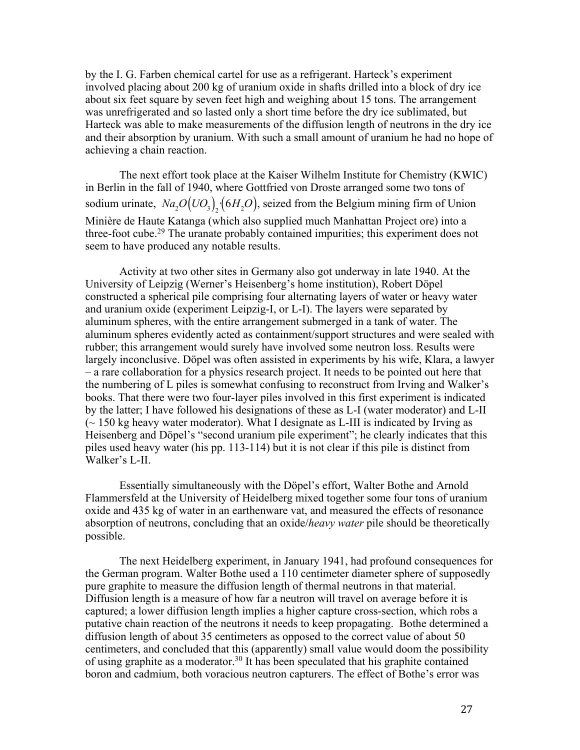by the I. G. Farben chemical cartel for use as a refrigerant. Harteck's experiment involved placing about 200 kg of uranium oxide in shafts drilled into a block of dry ice about six feet square by seven feet high and weighing about 15 tons. The arrangement was unrefrigerated and so lasted only a short time before the dry ice sublimated, but Harteck was able to make measurements of the diffusion length of neutrons in the dry ice and their absorption by uranium. With such a small amount of uranium he had no hope of achieving a chain reaction.

The next effort took place at the Kaiser Wilhelm Institute for Chemistry (KWIC) in Berlin in the fall of 1940, where Gottfried von Droste arranged some two tons of sodium urinate,  $Na_2O(UO_3)_2(6H_2O)$ , seized from the Belgium mining firm of Union Minière de Haute Katanga (which also supplied much Manhattan Project ore) into a three-foot cube.<sup>29</sup> The uranate probably contained impurities; this experiment does not seem to have produced any notable results.

Activity at two other sites in Germany also got underway in late 1940. At the University of Leipzig (Werner's Heisenberg's home institution), Robert Döpel constructed a spherical pile comprising four alternating layers of water or heavy water and uranium oxide (experiment Leipzig-I, or L-I). The layers were separated by aluminum spheres, with the entire arrangement submerged in a tank of water. The aluminum spheres evidently acted as containment/support structures and were sealed with rubber; this arrangement would surely have involved some neutron loss. Results were largely inconclusive. Döpel was often assisted in experiments by his wife, Klara, a lawyer – a rare collaboration for a physics research project. It needs to be pointed out here that the numbering of L piles is somewhat confusing to reconstruct from Irving and Walker's books. That there were two four-layer piles involved in this first experiment is indicated by the latter; I have followed his designations of these as L-I (water moderator) and L-II  $\sim$  150 kg heavy water moderator). What I designate as L-III is indicated by Irving as Heisenberg and Döpel's "second uranium pile experiment"; he clearly indicates that this piles used heavy water (his pp. 113-114) but it is not clear if this pile is distinct from Walker's L-II.

Essentially simultaneously with the Döpel's effort, Walter Bothe and Arnold Flammersfeld at the University of Heidelberg mixed together some four tons of uranium oxide and 435 kg of water in an earthenware vat, and measured the effects of resonance absorption of neutrons, concluding that an oxide/*heavy water* pile should be theoretically possible.

The next Heidelberg experiment, in January 1941, had profound consequences for the German program. Walter Bothe used a 110 centimeter diameter sphere of supposedly pure graphite to measure the diffusion length of thermal neutrons in that material. Diffusion length is a measure of how far a neutron will travel on average before it is captured; a lower diffusion length implies a higher capture cross-section, which robs a putative chain reaction of the neutrons it needs to keep propagating. Bothe determined a diffusion length of about 35 centimeters as opposed to the correct value of about 50 centimeters, and concluded that this (apparently) small value would doom the possibility of using graphite as a moderator.<sup>30</sup> It has been speculated that his graphite contained boron and cadmium, both voracious neutron capturers. The effect of Bothe's error was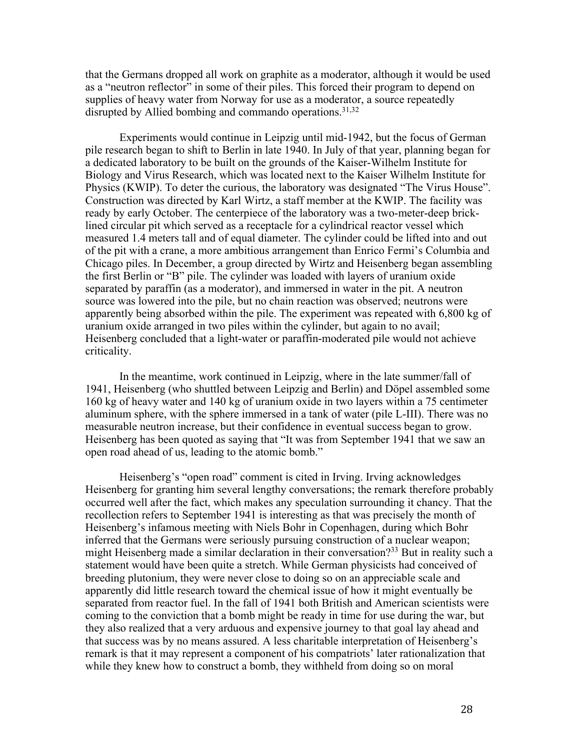that the Germans dropped all work on graphite as a moderator, although it would be used as a "neutron reflector" in some of their piles. This forced their program to depend on supplies of heavy water from Norway for use as a moderator, a source repeatedly disrupted by Allied bombing and commando operations. 31,32

Experiments would continue in Leipzig until mid-1942, but the focus of German pile research began to shift to Berlin in late 1940. In July of that year, planning began for a dedicated laboratory to be built on the grounds of the Kaiser-Wilhelm Institute for Biology and Virus Research, which was located next to the Kaiser Wilhelm Institute for Physics (KWIP). To deter the curious, the laboratory was designated "The Virus House". Construction was directed by Karl Wirtz, a staff member at the KWIP. The facility was ready by early October. The centerpiece of the laboratory was a two-meter-deep bricklined circular pit which served as a receptacle for a cylindrical reactor vessel which measured 1.4 meters tall and of equal diameter. The cylinder could be lifted into and out of the pit with a crane, a more ambitious arrangement than Enrico Fermi's Columbia and Chicago piles. In December, a group directed by Wirtz and Heisenberg began assembling the first Berlin or "B" pile. The cylinder was loaded with layers of uranium oxide separated by paraffin (as a moderator), and immersed in water in the pit. A neutron source was lowered into the pile, but no chain reaction was observed; neutrons were apparently being absorbed within the pile. The experiment was repeated with 6,800 kg of uranium oxide arranged in two piles within the cylinder, but again to no avail; Heisenberg concluded that a light-water or paraffin-moderated pile would not achieve criticality.

In the meantime, work continued in Leipzig, where in the late summer/fall of 1941, Heisenberg (who shuttled between Leipzig and Berlin) and Döpel assembled some 160 kg of heavy water and 140 kg of uranium oxide in two layers within a 75 centimeter aluminum sphere, with the sphere immersed in a tank of water (pile L-III). There was no measurable neutron increase, but their confidence in eventual success began to grow. Heisenberg has been quoted as saying that "It was from September 1941 that we saw an open road ahead of us, leading to the atomic bomb."

Heisenberg's "open road" comment is cited in Irving. Irving acknowledges Heisenberg for granting him several lengthy conversations; the remark therefore probably occurred well after the fact, which makes any speculation surrounding it chancy. That the recollection refers to September 1941 is interesting as that was precisely the month of Heisenberg's infamous meeting with Niels Bohr in Copenhagen, during which Bohr inferred that the Germans were seriously pursuing construction of a nuclear weapon; might Heisenberg made a similar declaration in their conversation?<sup>33</sup> But in reality such a statement would have been quite a stretch. While German physicists had conceived of breeding plutonium, they were never close to doing so on an appreciable scale and apparently did little research toward the chemical issue of how it might eventually be separated from reactor fuel. In the fall of 1941 both British and American scientists were coming to the conviction that a bomb might be ready in time for use during the war, but they also realized that a very arduous and expensive journey to that goal lay ahead and that success was by no means assured. A less charitable interpretation of Heisenberg's remark is that it may represent a component of his compatriots' later rationalization that while they knew how to construct a bomb, they withheld from doing so on moral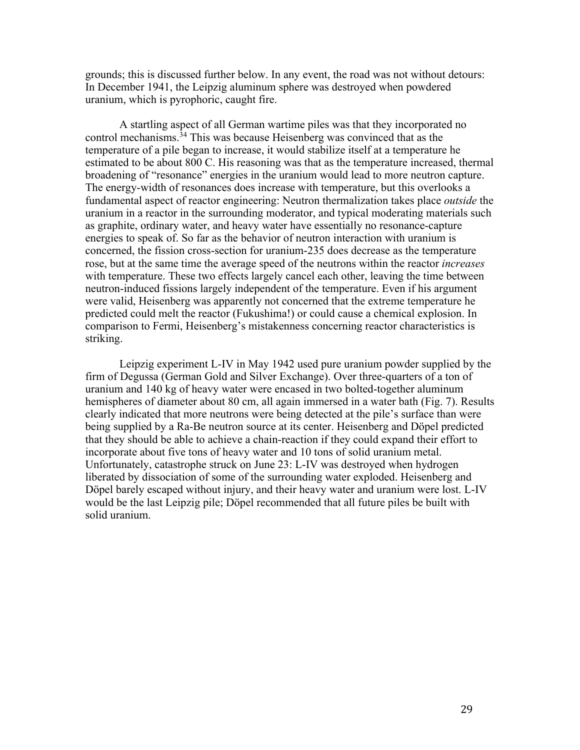grounds; this is discussed further below. In any event, the road was not without detours: In December 1941, the Leipzig aluminum sphere was destroyed when powdered uranium, which is pyrophoric, caught fire.

A startling aspect of all German wartime piles was that they incorporated no control mechanisms. <sup>34</sup> This was because Heisenberg was convinced that as the temperature of a pile began to increase, it would stabilize itself at a temperature he estimated to be about 800 C. His reasoning was that as the temperature increased, thermal broadening of "resonance" energies in the uranium would lead to more neutron capture. The energy-width of resonances does increase with temperature, but this overlooks a fundamental aspect of reactor engineering: Neutron thermalization takes place *outside* the uranium in a reactor in the surrounding moderator, and typical moderating materials such as graphite, ordinary water, and heavy water have essentially no resonance-capture energies to speak of. So far as the behavior of neutron interaction with uranium is concerned, the fission cross-section for uranium-235 does decrease as the temperature rose, but at the same time the average speed of the neutrons within the reactor *increases* with temperature. These two effects largely cancel each other, leaving the time between neutron-induced fissions largely independent of the temperature. Even if his argument were valid, Heisenberg was apparently not concerned that the extreme temperature he predicted could melt the reactor (Fukushima!) or could cause a chemical explosion. In comparison to Fermi, Heisenberg's mistakenness concerning reactor characteristics is striking.

Leipzig experiment L-IV in May 1942 used pure uranium powder supplied by the firm of Degussa (German Gold and Silver Exchange). Over three-quarters of a ton of uranium and 140 kg of heavy water were encased in two bolted-together aluminum hemispheres of diameter about 80 cm, all again immersed in a water bath (Fig. 7). Results clearly indicated that more neutrons were being detected at the pile's surface than were being supplied by a Ra-Be neutron source at its center. Heisenberg and Döpel predicted that they should be able to achieve a chain-reaction if they could expand their effort to incorporate about five tons of heavy water and 10 tons of solid uranium metal. Unfortunately, catastrophe struck on June 23: L-IV was destroyed when hydrogen liberated by dissociation of some of the surrounding water exploded. Heisenberg and Döpel barely escaped without injury, and their heavy water and uranium were lost. L-IV would be the last Leipzig pile; Döpel recommended that all future piles be built with solid uranium.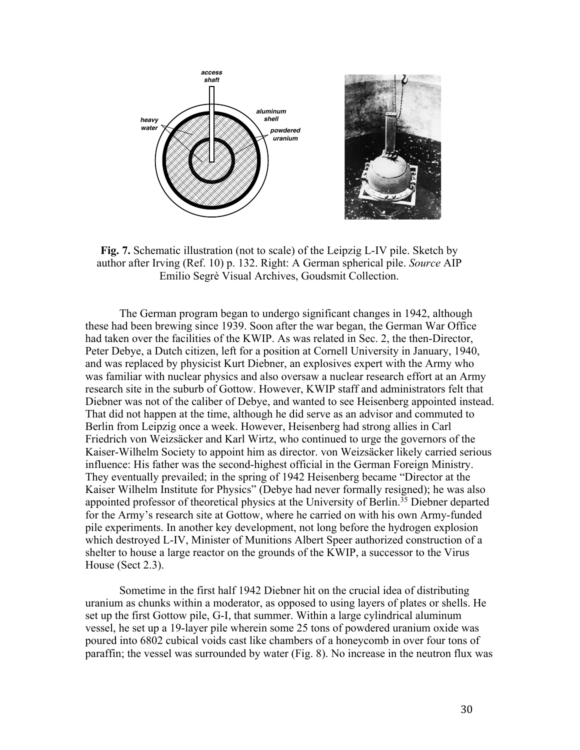

**Fig. 7.** Schematic illustration (not to scale) of the Leipzig L-IV pile. Sketch by author after Irving (Ref. 10) p. 132. Right: A German spherical pile. *Source* AIP Emilio Segrè Visual Archives, Goudsmit Collection.

The German program began to undergo significant changes in 1942, although these had been brewing since 1939. Soon after the war began, the German War Office had taken over the facilities of the KWIP. As was related in Sec. 2, the then-Director, Peter Debye, a Dutch citizen, left for a position at Cornell University in January, 1940, and was replaced by physicist Kurt Diebner, an explosives expert with the Army who was familiar with nuclear physics and also oversaw a nuclear research effort at an Army research site in the suburb of Gottow. However, KWIP staff and administrators felt that Diebner was not of the caliber of Debye, and wanted to see Heisenberg appointed instead. That did not happen at the time, although he did serve as an advisor and commuted to Berlin from Leipzig once a week. However, Heisenberg had strong allies in Carl Friedrich von Weizsäcker and Karl Wirtz, who continued to urge the governors of the Kaiser-Wilhelm Society to appoint him as director. von Weizsäcker likely carried serious influence: His father was the second-highest official in the German Foreign Ministry. They eventually prevailed; in the spring of 1942 Heisenberg became "Director at the Kaiser Wilhelm Institute for Physics" (Debye had never formally resigned); he was also appointed professor of theoretical physics at the University of Berlin.<sup>35</sup> Diebner departed for the Army's research site at Gottow, where he carried on with his own Army-funded pile experiments. In another key development, not long before the hydrogen explosion which destroyed L-IV, Minister of Munitions Albert Speer authorized construction of a shelter to house a large reactor on the grounds of the KWIP, a successor to the Virus House (Sect 2.3).

Sometime in the first half 1942 Diebner hit on the crucial idea of distributing uranium as chunks within a moderator, as opposed to using layers of plates or shells. He set up the first Gottow pile, G-I, that summer. Within a large cylindrical aluminum vessel, he set up a 19-layer pile wherein some 25 tons of powdered uranium oxide was poured into 6802 cubical voids cast like chambers of a honeycomb in over four tons of paraffin; the vessel was surrounded by water (Fig. 8). No increase in the neutron flux was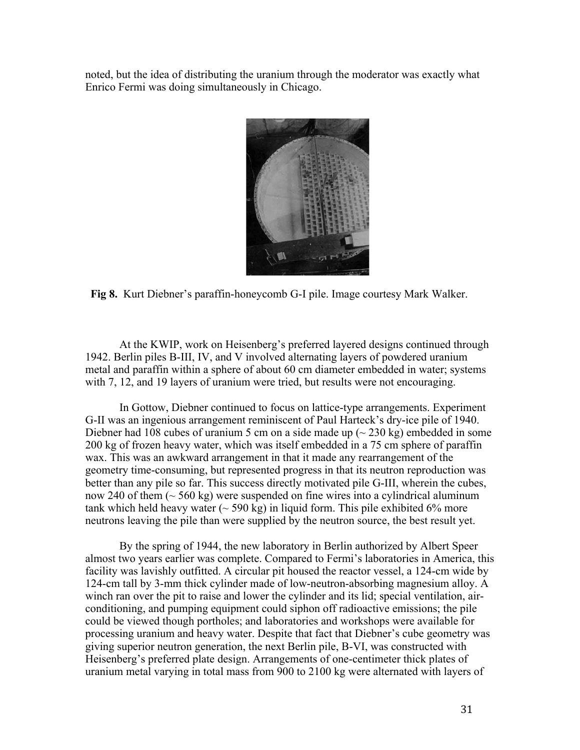noted, but the idea of distributing the uranium through the moderator was exactly what Enrico Fermi was doing simultaneously in Chicago.



**Fig 8.** Kurt Diebner's paraffin-honeycomb G-I pile. Image courtesy Mark Walker.

At the KWIP, work on Heisenberg's preferred layered designs continued through 1942. Berlin piles B-III, IV, and V involved alternating layers of powdered uranium metal and paraffin within a sphere of about 60 cm diameter embedded in water; systems with 7, 12, and 19 layers of uranium were tried, but results were not encouraging.

In Gottow, Diebner continued to focus on lattice-type arrangements. Experiment G-II was an ingenious arrangement reminiscent of Paul Harteck's dry-ice pile of 1940. Diebner had 108 cubes of uranium 5 cm on a side made up  $(\sim 230 \text{ kg})$  embedded in some 200 kg of frozen heavy water, which was itself embedded in a 75 cm sphere of paraffin wax. This was an awkward arrangement in that it made any rearrangement of the geometry time-consuming, but represented progress in that its neutron reproduction was better than any pile so far. This success directly motivated pile G-III, wherein the cubes, now 240 of them  $($   $\sim$  560 kg) were suspended on fine wires into a cylindrical aluminum tank which held heavy water  $(\sim 590 \text{ kg})$  in liquid form. This pile exhibited 6% more neutrons leaving the pile than were supplied by the neutron source, the best result yet.

By the spring of 1944, the new laboratory in Berlin authorized by Albert Speer almost two years earlier was complete. Compared to Fermi's laboratories in America, this facility was lavishly outfitted. A circular pit housed the reactor vessel, a 124-cm wide by 124-cm tall by 3-mm thick cylinder made of low-neutron-absorbing magnesium alloy. A winch ran over the pit to raise and lower the cylinder and its lid; special ventilation, airconditioning, and pumping equipment could siphon off radioactive emissions; the pile could be viewed though portholes; and laboratories and workshops were available for processing uranium and heavy water. Despite that fact that Diebner's cube geometry was giving superior neutron generation, the next Berlin pile, B-VI, was constructed with Heisenberg's preferred plate design. Arrangements of one-centimeter thick plates of uranium metal varying in total mass from 900 to 2100 kg were alternated with layers of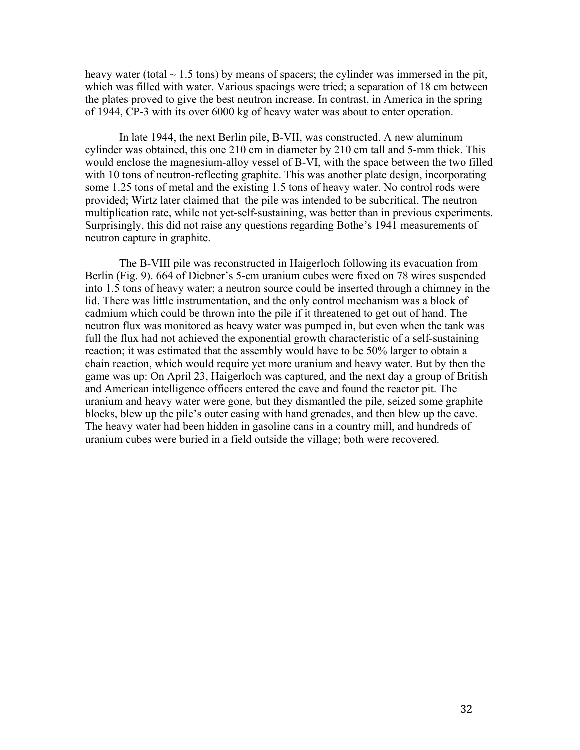heavy water (total  $\sim$  1.5 tons) by means of spacers; the cylinder was immersed in the pit, which was filled with water. Various spacings were tried; a separation of 18 cm between the plates proved to give the best neutron increase. In contrast, in America in the spring of 1944, CP-3 with its over 6000 kg of heavy water was about to enter operation.

In late 1944, the next Berlin pile, B-VII, was constructed. A new aluminum cylinder was obtained, this one 210 cm in diameter by 210 cm tall and 5-mm thick. This would enclose the magnesium-alloy vessel of B-VI, with the space between the two filled with 10 tons of neutron-reflecting graphite. This was another plate design, incorporating some 1.25 tons of metal and the existing 1.5 tons of heavy water. No control rods were provided; Wirtz later claimed that the pile was intended to be subcritical. The neutron multiplication rate, while not yet-self-sustaining, was better than in previous experiments. Surprisingly, this did not raise any questions regarding Bothe's 1941 measurements of neutron capture in graphite.

The B-VIII pile was reconstructed in Haigerloch following its evacuation from Berlin (Fig. 9). 664 of Diebner's 5-cm uranium cubes were fixed on 78 wires suspended into 1.5 tons of heavy water; a neutron source could be inserted through a chimney in the lid. There was little instrumentation, and the only control mechanism was a block of cadmium which could be thrown into the pile if it threatened to get out of hand. The neutron flux was monitored as heavy water was pumped in, but even when the tank was full the flux had not achieved the exponential growth characteristic of a self-sustaining reaction; it was estimated that the assembly would have to be 50% larger to obtain a chain reaction, which would require yet more uranium and heavy water. But by then the game was up: On April 23, Haigerloch was captured, and the next day a group of British and American intelligence officers entered the cave and found the reactor pit. The uranium and heavy water were gone, but they dismantled the pile, seized some graphite blocks, blew up the pile's outer casing with hand grenades, and then blew up the cave. The heavy water had been hidden in gasoline cans in a country mill, and hundreds of uranium cubes were buried in a field outside the village; both were recovered.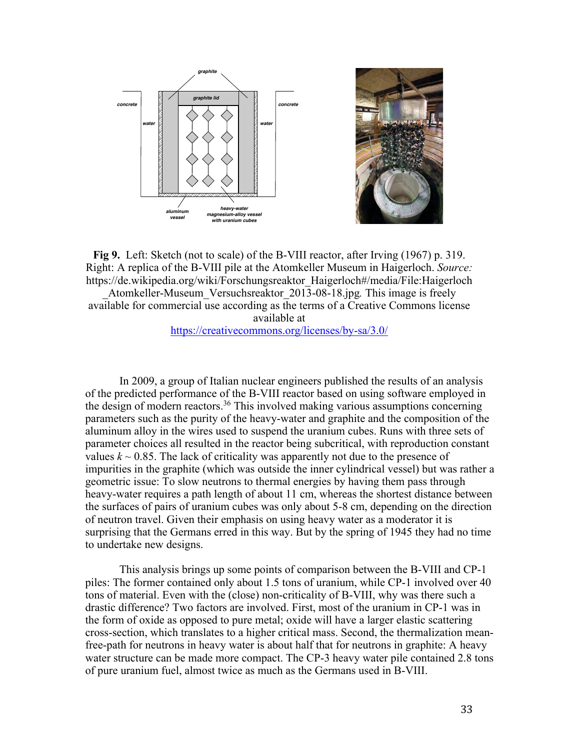



**Fig 9.** Left: Sketch (not to scale) of the B-VIII reactor, after Irving (1967) p. 319. Right: A replica of the B-VIII pile at the Atomkeller Museum in Haigerloch. *Source:* https://de.wikipedia.org/wiki/Forschungsreaktor\_Haigerloch#/media/File:Haigerloch

\_Atomkeller-Museum\_Versuchsreaktor\_2013-08-18.jpg*.* This image is freely available for commercial use according as the terms of a Creative Commons license available at

#### https://creativecommons.org/licenses/by-sa/3.0/

In 2009, a group of Italian nuclear engineers published the results of an analysis of the predicted performance of the B-VIII reactor based on using software employed in the design of modern reactors.<sup>36</sup> This involved making various assumptions concerning parameters such as the purity of the heavy-water and graphite and the composition of the aluminum alloy in the wires used to suspend the uranium cubes. Runs with three sets of parameter choices all resulted in the reactor being subcritical, with reproduction constant values  $k \sim 0.85$ . The lack of criticality was apparently not due to the presence of impurities in the graphite (which was outside the inner cylindrical vessel) but was rather a geometric issue: To slow neutrons to thermal energies by having them pass through heavy-water requires a path length of about 11 cm, whereas the shortest distance between the surfaces of pairs of uranium cubes was only about 5-8 cm, depending on the direction of neutron travel. Given their emphasis on using heavy water as a moderator it is surprising that the Germans erred in this way. But by the spring of 1945 they had no time to undertake new designs.

This analysis brings up some points of comparison between the B-VIII and CP-1 piles: The former contained only about 1.5 tons of uranium, while CP-1 involved over 40 tons of material. Even with the (close) non-criticality of B-VIII, why was there such a drastic difference? Two factors are involved. First, most of the uranium in CP-1 was in the form of oxide as opposed to pure metal; oxide will have a larger elastic scattering cross-section, which translates to a higher critical mass. Second, the thermalization meanfree-path for neutrons in heavy water is about half that for neutrons in graphite: A heavy water structure can be made more compact. The CP-3 heavy water pile contained 2.8 tons of pure uranium fuel, almost twice as much as the Germans used in B-VIII.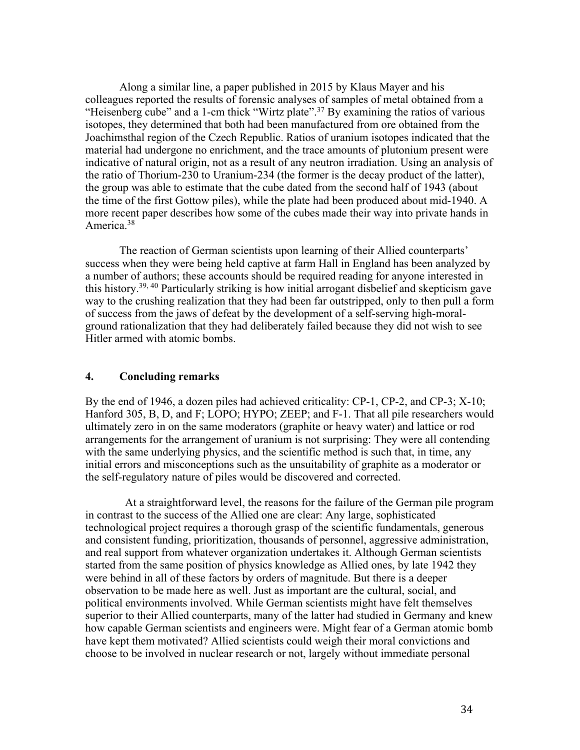Along a similar line, a paper published in 2015 by Klaus Mayer and his colleagues reported the results of forensic analyses of samples of metal obtained from a "Heisenberg cube" and a 1-cm thick "Wirtz plate".<sup>37</sup> By examining the ratios of various isotopes, they determined that both had been manufactured from ore obtained from the Joachimsthal region of the Czech Republic. Ratios of uranium isotopes indicated that the material had undergone no enrichment, and the trace amounts of plutonium present were indicative of natural origin, not as a result of any neutron irradiation. Using an analysis of the ratio of Thorium-230 to Uranium-234 (the former is the decay product of the latter), the group was able to estimate that the cube dated from the second half of 1943 (about the time of the first Gottow piles), while the plate had been produced about mid-1940. A more recent paper describes how some of the cubes made their way into private hands in America.<sup>38</sup>

The reaction of German scientists upon learning of their Allied counterparts' success when they were being held captive at farm Hall in England has been analyzed by a number of authors; these accounts should be required reading for anyone interested in this history.39, 40 Particularly striking is how initial arrogant disbelief and skepticism gave way to the crushing realization that they had been far outstripped, only to then pull a form of success from the jaws of defeat by the development of a self-serving high-moralground rationalization that they had deliberately failed because they did not wish to see Hitler armed with atomic bombs.

#### **4. Concluding remarks**

By the end of 1946, a dozen piles had achieved criticality: CP-1, CP-2, and CP-3; X-10; Hanford 305, B, D, and F; LOPO; HYPO; ZEEP; and F-1. That all pile researchers would ultimately zero in on the same moderators (graphite or heavy water) and lattice or rod arrangements for the arrangement of uranium is not surprising: They were all contending with the same underlying physics, and the scientific method is such that, in time, any initial errors and misconceptions such as the unsuitability of graphite as a moderator or the self-regulatory nature of piles would be discovered and corrected.

At a straightforward level, the reasons for the failure of the German pile program in contrast to the success of the Allied one are clear: Any large, sophisticated technological project requires a thorough grasp of the scientific fundamentals, generous and consistent funding, prioritization, thousands of personnel, aggressive administration, and real support from whatever organization undertakes it. Although German scientists started from the same position of physics knowledge as Allied ones, by late 1942 they were behind in all of these factors by orders of magnitude. But there is a deeper observation to be made here as well. Just as important are the cultural, social, and political environments involved. While German scientists might have felt themselves superior to their Allied counterparts, many of the latter had studied in Germany and knew how capable German scientists and engineers were. Might fear of a German atomic bomb have kept them motivated? Allied scientists could weigh their moral convictions and choose to be involved in nuclear research or not, largely without immediate personal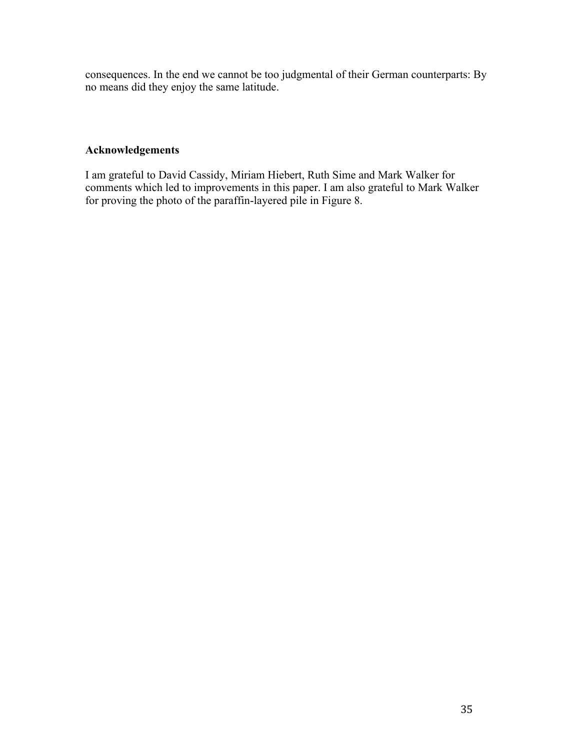consequences. In the end we cannot be too judgmental of their German counterparts: By no means did they enjoy the same latitude.

## **Acknowledgements**

I am grateful to David Cassidy, Miriam Hiebert, Ruth Sime and Mark Walker for comments which led to improvements in this paper. I am also grateful to Mark Walker for proving the photo of the paraffin-layered pile in Figure 8.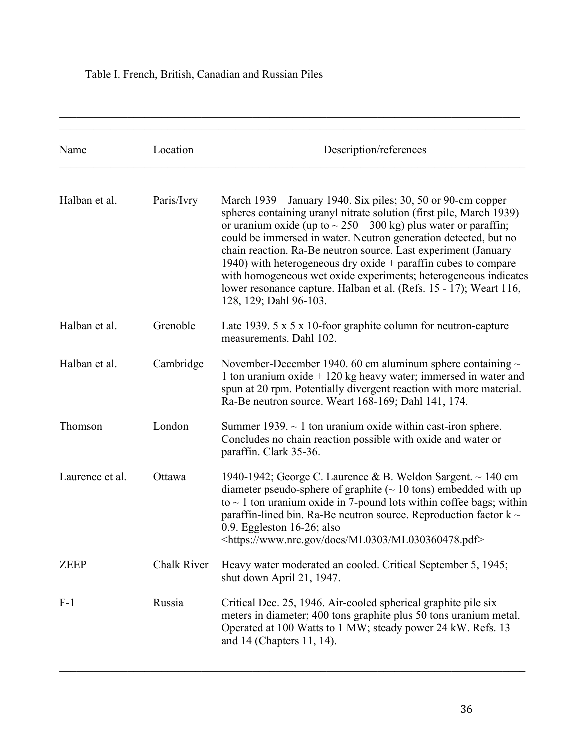# Table I. French, British, Canadian and Russian Piles

| Name            | Location    | Description/references                                                                                                                                                                                                                                                                                                                                                                                                                                                                                                                                                                  |
|-----------------|-------------|-----------------------------------------------------------------------------------------------------------------------------------------------------------------------------------------------------------------------------------------------------------------------------------------------------------------------------------------------------------------------------------------------------------------------------------------------------------------------------------------------------------------------------------------------------------------------------------------|
| Halban et al.   | Paris/Ivry  | March 1939 - January 1940. Six piles; 30, 50 or 90-cm copper<br>spheres containing uranyl nitrate solution (first pile, March 1939)<br>or uranium oxide (up to $\sim$ 250 – 300 kg) plus water or paraffin;<br>could be immersed in water. Neutron generation detected, but no<br>chain reaction. Ra-Be neutron source. Last experiment (January<br>1940) with heterogeneous dry oxide $+$ paraffin cubes to compare<br>with homogeneous wet oxide experiments; heterogeneous indicates<br>lower resonance capture. Halban et al. (Refs. 15 - 17); Weart 116,<br>128, 129; Dahl 96-103. |
| Halban et al.   | Grenoble    | Late 1939. $5 \times 5 \times 10$ -foor graphite column for neutron-capture<br>measurements. Dahl 102.                                                                                                                                                                                                                                                                                                                                                                                                                                                                                  |
| Halban et al.   | Cambridge   | November-December 1940. 60 cm aluminum sphere containing $\sim$<br>1 ton uranium oxide $+ 120$ kg heavy water; immersed in water and<br>spun at 20 rpm. Potentially divergent reaction with more material.<br>Ra-Be neutron source. Weart 168-169; Dahl 141, 174.                                                                                                                                                                                                                                                                                                                       |
| Thomson         | London      | Summer 1939. $\sim$ 1 ton uranium oxide within cast-iron sphere.<br>Concludes no chain reaction possible with oxide and water or<br>paraffin. Clark 35-36.                                                                                                                                                                                                                                                                                                                                                                                                                              |
| Laurence et al. | Ottawa      | 1940-1942; George C. Laurence & B. Weldon Sargent. $\sim$ 140 cm<br>diameter pseudo-sphere of graphite ( $\sim$ 10 tons) embedded with up<br>to $\sim$ 1 ton uranium oxide in 7-pound lots within coffee bags; within<br>paraffin-lined bin. Ra-Be neutron source. Reproduction factor $k \sim$<br>$0.9.$ Eggleston 16-26; also<br><https: docs="" ml0303="" ml030360478.pdf="" www.nrc.gov=""></https:>                                                                                                                                                                                |
| <b>ZEEP</b>     | Chalk River | Heavy water moderated an cooled. Critical September 5, 1945;<br>shut down April 21, 1947.                                                                                                                                                                                                                                                                                                                                                                                                                                                                                               |
| $F-1$           | Russia      | Critical Dec. 25, 1946. Air-cooled spherical graphite pile six<br>meters in diameter; 400 tons graphite plus 50 tons uranium metal.<br>Operated at 100 Watts to 1 MW; steady power 24 kW. Refs. 13<br>and 14 (Chapters 11, 14).                                                                                                                                                                                                                                                                                                                                                         |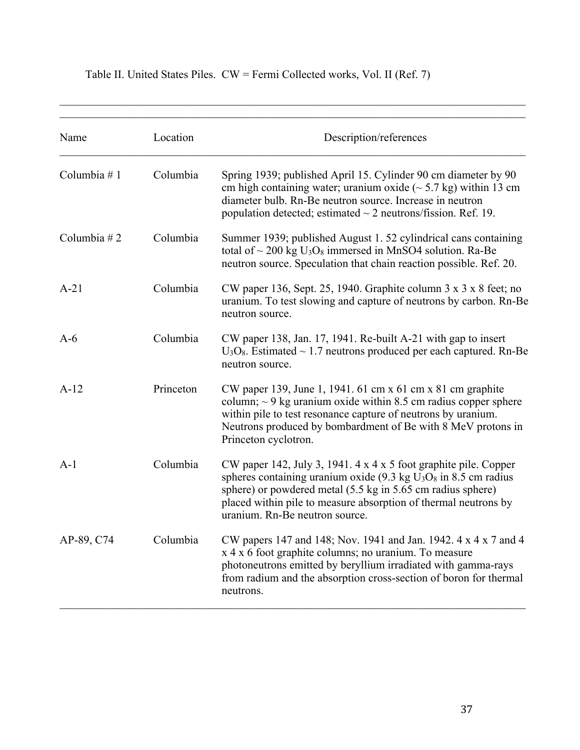| Name           | Location  | Description/references                                                                                                                                                                                                                                                                                               |
|----------------|-----------|----------------------------------------------------------------------------------------------------------------------------------------------------------------------------------------------------------------------------------------------------------------------------------------------------------------------|
| Columbia #1    | Columbia  | Spring 1939; published April 15. Cylinder 90 cm diameter by 90<br>cm high containing water; uranium oxide $(\sim 5.7 \text{ kg})$ within 13 cm<br>diameter bulb. Rn-Be neutron source. Increase in neutron<br>population detected; estimated $\sim$ 2 neutrons/fission. Ref. 19.                                     |
| Columbia $# 2$ | Columbia  | Summer 1939; published August 1. 52 cylindrical cans containing<br>total of $\sim$ 200 kg U <sub>3</sub> O <sub>8</sub> immersed in MnSO4 solution. Ra-Be<br>neutron source. Speculation that chain reaction possible. Ref. 20.                                                                                      |
| $A-21$         | Columbia  | CW paper 136, Sept. 25, 1940. Graphite column $3 \times 3 \times 8$ feet; no<br>uranium. To test slowing and capture of neutrons by carbon. Rn-Be<br>neutron source.                                                                                                                                                 |
| $A-6$          | Columbia  | CW paper 138, Jan. 17, 1941. Re-built A-21 with gap to insert<br>$U_3O_8$ . Estimated ~ 1.7 neutrons produced per each captured. Rn-Be<br>neutron source.                                                                                                                                                            |
| $A-12$         | Princeton | CW paper 139, June 1, 1941. 61 cm x 61 cm x 81 cm graphite<br>column; $\sim$ 9 kg uranium oxide within 8.5 cm radius copper sphere<br>within pile to test resonance capture of neutrons by uranium.<br>Neutrons produced by bombardment of Be with 8 MeV protons in<br>Princeton cyclotron.                          |
| $A-1$          | Columbia  | CW paper 142, July 3, 1941. 4 x 4 x 5 foot graphite pile. Copper<br>spheres containing uranium oxide $(9.3 \text{ kg } U_3O_8)$ in 8.5 cm radius<br>sphere) or powdered metal (5.5 kg in 5.65 cm radius sphere)<br>placed within pile to measure absorption of thermal neutrons by<br>uranium. Rn-Be neutron source. |
| AP-89, C74     | Columbia  | CW papers 147 and 148; Nov. 1941 and Jan. 1942. 4 x 4 x 7 and 4<br>x 4 x 6 foot graphite columns; no uranium. To measure<br>photoneutrons emitted by beryllium irradiated with gamma-rays<br>from radium and the absorption cross-section of boron for thermal<br>neutrons.                                          |

# Table II. United States Piles. CW = Fermi Collected works, Vol. II (Ref. 7)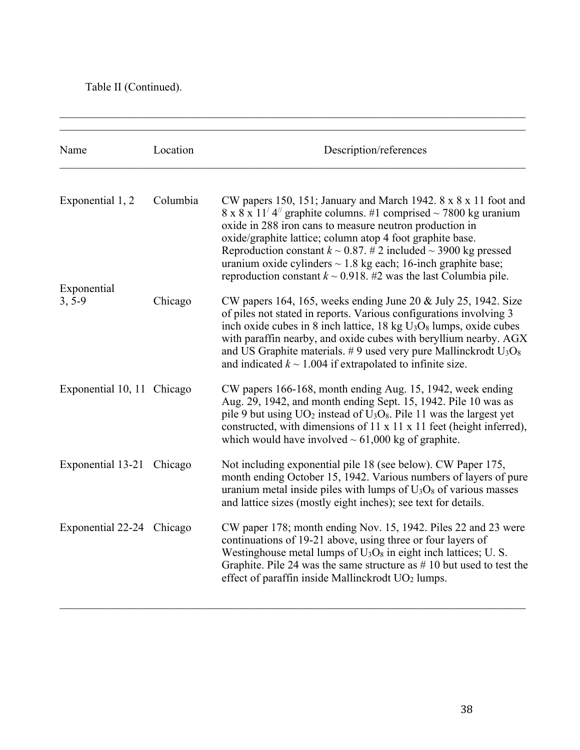Table II (Continued).

| Name                       | Location | Description/references                                                                                                                                                                                                                                                                                                                                                                                                                                                                                             |
|----------------------------|----------|--------------------------------------------------------------------------------------------------------------------------------------------------------------------------------------------------------------------------------------------------------------------------------------------------------------------------------------------------------------------------------------------------------------------------------------------------------------------------------------------------------------------|
| Exponential 1, 2           | Columbia | CW papers 150, 151; January and March 1942. 8 x 8 x 11 foot and<br>$8 \times 8 \times 11^{7}$ 4 <sup>//</sup> graphite columns. #1 comprised ~ 7800 kg uranium<br>oxide in 288 iron cans to measure neutron production in<br>oxide/graphite lattice; column atop 4 foot graphite base.<br>Reproduction constant $k \sim 0.87$ . # 2 included $\sim 3900$ kg pressed<br>uranium oxide cylinders $\sim$ 1.8 kg each; 16-inch graphite base;<br>reproduction constant $k \sim 0.918$ . #2 was the last Columbia pile. |
| Exponential                |          |                                                                                                                                                                                                                                                                                                                                                                                                                                                                                                                    |
| $3, 5-9$                   | Chicago  | CW papers 164, 165, weeks ending June 20 & July 25, 1942. Size<br>of piles not stated in reports. Various configurations involving 3<br>inch oxide cubes in 8 inch lattice, $18 \text{ kg } U_3O_8$ lumps, oxide cubes<br>with paraffin nearby, and oxide cubes with beryllium nearby. AGX<br>and US Graphite materials. #9 used very pure Mallinckrodt $U_3O_8$<br>and indicated $k \sim 1.004$ if extrapolated to infinite size.                                                                                 |
| Exponential 10, 11 Chicago |          | CW papers 166-168, month ending Aug. 15, 1942, week ending<br>Aug. 29, 1942, and month ending Sept. 15, 1942. Pile 10 was as<br>pile 9 but using $UO_2$ instead of $U_3O_8$ . Pile 11 was the largest yet<br>constructed, with dimensions of 11 x 11 x 11 feet (height inferred),<br>which would have involved $\sim 61,000$ kg of graphite.                                                                                                                                                                       |
| Exponential 13-21 Chicago  |          | Not including exponential pile 18 (see below). CW Paper 175,<br>month ending October 15, 1942. Various numbers of layers of pure<br>uranium metal inside piles with lumps of $U_3O_8$ of various masses<br>and lattice sizes (mostly eight inches); see text for details.                                                                                                                                                                                                                                          |
| Exponential 22-24 Chicago  |          | CW paper 178; month ending Nov. 15, 1942. Piles 22 and 23 were<br>continuations of 19-21 above, using three or four layers of<br>Westinghouse metal lumps of $U_3O_8$ in eight inch lattices; U.S.<br>Graphite. Pile 24 was the same structure as $# 10$ but used to test the<br>effect of paraffin inside Mallinckrodt UO <sub>2</sub> lumps.                                                                                                                                                                     |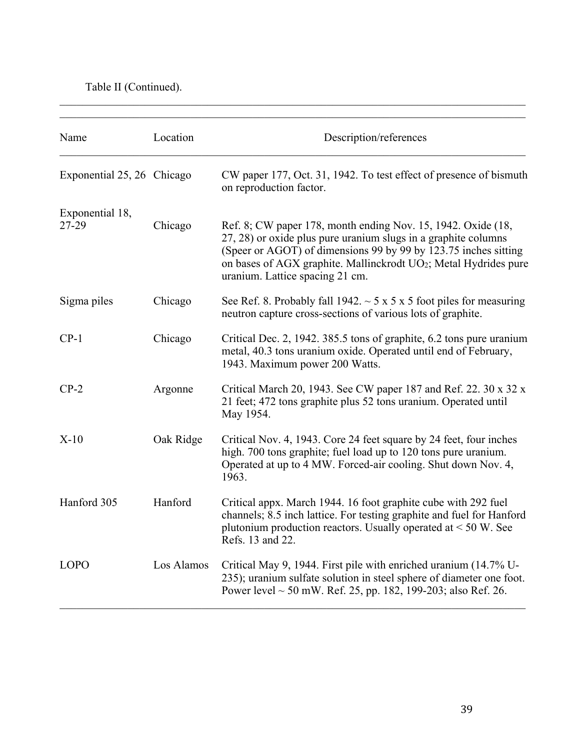Table II (Continued).

| Name                       | Location   | Description/references                                                                                                                                                                                                                                                                                  |
|----------------------------|------------|---------------------------------------------------------------------------------------------------------------------------------------------------------------------------------------------------------------------------------------------------------------------------------------------------------|
| Exponential 25, 26 Chicago |            | CW paper 177, Oct. 31, 1942. To test effect of presence of bismuth<br>on reproduction factor.                                                                                                                                                                                                           |
| Exponential 18,<br>27-29   | Chicago    | Ref. 8; CW paper 178, month ending Nov. 15, 1942. Oxide (18,<br>27, 28) or oxide plus pure uranium slugs in a graphite columns<br>(Speer or AGOT) of dimensions 99 by 99 by 123.75 inches sitting<br>on bases of AGX graphite. Mallinckrodt UO2; Metal Hydrides pure<br>uranium. Lattice spacing 21 cm. |
| Sigma piles                | Chicago    | See Ref. 8. Probably fall 1942. $\sim$ 5 x 5 x 5 foot piles for measuring<br>neutron capture cross-sections of various lots of graphite.                                                                                                                                                                |
| $CP-1$                     | Chicago    | Critical Dec. 2, 1942. 385.5 tons of graphite, 6.2 tons pure uranium<br>metal, 40.3 tons uranium oxide. Operated until end of February,<br>1943. Maximum power 200 Watts.                                                                                                                               |
| $CP-2$                     | Argonne    | Critical March 20, 1943. See CW paper 187 and Ref. 22. 30 x 32 x<br>21 feet; 472 tons graphite plus 52 tons uranium. Operated until<br>May 1954.                                                                                                                                                        |
| $X-10$                     | Oak Ridge  | Critical Nov. 4, 1943. Core 24 feet square by 24 feet, four inches<br>high. 700 tons graphite; fuel load up to 120 tons pure uranium.<br>Operated at up to 4 MW. Forced-air cooling. Shut down Nov. 4,<br>1963.                                                                                         |
| Hanford 305                | Hanford    | Critical appx. March 1944. 16 foot graphite cube with 292 fuel<br>channels; 8.5 inch lattice. For testing graphite and fuel for Hanford<br>plutonium production reactors. Usually operated at $\leq 50$ W. See<br>Refs. 13 and 22.                                                                      |
| <b>LOPO</b>                | Los Alamos | Critical May 9, 1944. First pile with enriched uranium (14.7% U-<br>235); uranium sulfate solution in steel sphere of diameter one foot.<br>Power level $\sim$ 50 mW. Ref. 25, pp. 182, 199-203; also Ref. 26.                                                                                          |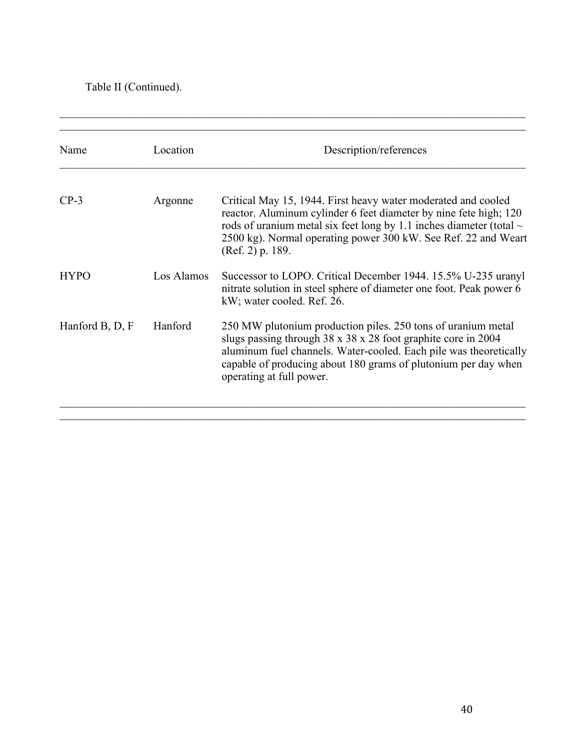Table II (Continued).

| Name            | Location   | Description/references                                                                                                                                                                                                                                                                               |
|-----------------|------------|------------------------------------------------------------------------------------------------------------------------------------------------------------------------------------------------------------------------------------------------------------------------------------------------------|
| $CP-3$          | Argonne    | Critical May 15, 1944. First heavy water moderated and cooled<br>reactor. Aluminum cylinder 6 feet diameter by nine fete high; 120<br>rods of uranium metal six feet long by 1.1 inches diameter (total $\sim$<br>2500 kg). Normal operating power 300 kW. See Ref. 22 and Weart<br>(Ref. 2) p. 189. |
| <b>HYPO</b>     | Los Alamos | Successor to LOPO. Critical December 1944. 15.5% U-235 uranyl<br>nitrate solution in steel sphere of diameter one foot. Peak power 6<br>kW; water cooled. Ref. 26.                                                                                                                                   |
| Hanford B, D, F | Hanford    | 250 MW plutonium production piles. 250 tons of uranium metal<br>slugs passing through 38 x 38 x 28 foot graphite core in 2004<br>aluminum fuel channels. Water-cooled. Each pile was theoretically<br>capable of producing about 180 grams of plutonium per day when<br>operating at full power.     |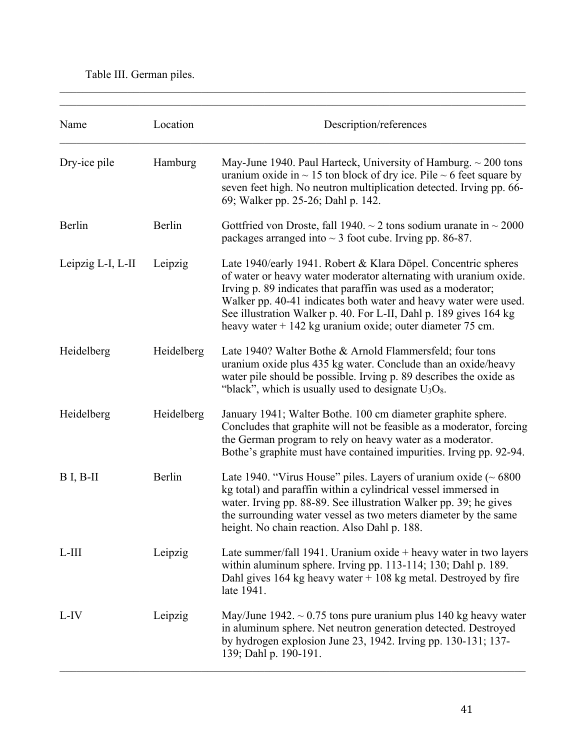# Table III. German piles.

| Name              | Location   | Description/references                                                                                                                                                                                                                                                                                                                                                                                       |
|-------------------|------------|--------------------------------------------------------------------------------------------------------------------------------------------------------------------------------------------------------------------------------------------------------------------------------------------------------------------------------------------------------------------------------------------------------------|
| Dry-ice pile      | Hamburg    | May-June 1940. Paul Harteck, University of Hamburg. $\sim$ 200 tons<br>uranium oxide in $\sim$ 15 ton block of dry ice. Pile $\sim$ 6 feet square by<br>seven feet high. No neutron multiplication detected. Irving pp. 66-<br>69; Walker pp. 25-26; Dahl p. 142.                                                                                                                                            |
| Berlin            | Berlin     | Gottfried von Droste, fall 1940. $\sim$ 2 tons sodium uranate in $\sim$ 2000<br>packages arranged into $\sim$ 3 foot cube. Irving pp. 86-87.                                                                                                                                                                                                                                                                 |
| Leipzig L-I, L-II | Leipzig    | Late 1940/early 1941. Robert & Klara Döpel. Concentric spheres<br>of water or heavy water moderator alternating with uranium oxide.<br>Irving p. 89 indicates that paraffin was used as a moderator;<br>Walker pp. 40-41 indicates both water and heavy water were used.<br>See illustration Walker p. 40. For L-II, Dahl p. 189 gives 164 kg<br>heavy water $+$ 142 kg uranium oxide; outer diameter 75 cm. |
| Heidelberg        | Heidelberg | Late 1940? Walter Bothe & Arnold Flammersfeld; four tons<br>uranium oxide plus 435 kg water. Conclude than an oxide/heavy<br>water pile should be possible. Irving p. 89 describes the oxide as<br>"black", which is usually used to designate $U_3O_8$ .                                                                                                                                                    |
| Heidelberg        | Heidelberg | January 1941; Walter Bothe. 100 cm diameter graphite sphere.<br>Concludes that graphite will not be feasible as a moderator, forcing<br>the German program to rely on heavy water as a moderator.<br>Bothe's graphite must have contained impurities. Irving pp. 92-94.                                                                                                                                      |
| $B I, B-II$       | Berlin     | Late 1940. "Virus House" piles. Layers of uranium oxide ( $\sim 6800$<br>kg total) and paraffin within a cylindrical vessel immersed in<br>water. Irving pp. 88-89. See illustration Walker pp. 39; he gives<br>the surrounding water vessel as two meters diameter by the same<br>height. No chain reaction. Also Dahl p. 188.                                                                              |
| $L-III$           | Leipzig    | Late summer/fall 1941. Uranium oxide $+$ heavy water in two layers<br>within aluminum sphere. Irving pp. 113-114; 130; Dahl p. 189.<br>Dahl gives $164$ kg heavy water $+108$ kg metal. Destroyed by fire<br>late 1941.                                                                                                                                                                                      |
| L-IV              | Leipzig    | May/June 1942. $\sim 0.75$ tons pure uranium plus 140 kg heavy water<br>in aluminum sphere. Net neutron generation detected. Destroyed<br>by hydrogen explosion June 23, 1942. Irving pp. 130-131; 137-<br>139; Dahl p. 190-191.                                                                                                                                                                             |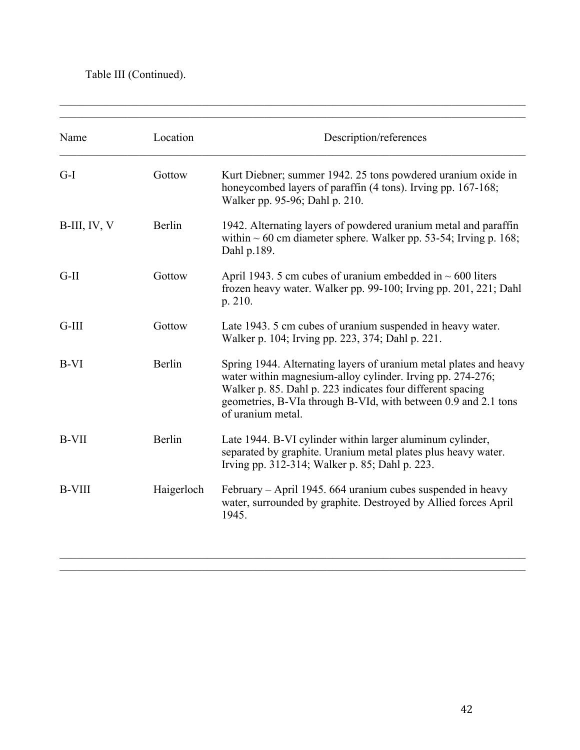# Table III (Continued).

| Name          | Location   | Description/references                                                                                                                                                                                                                                                               |
|---------------|------------|--------------------------------------------------------------------------------------------------------------------------------------------------------------------------------------------------------------------------------------------------------------------------------------|
| $G-I$         | Gottow     | Kurt Diebner; summer 1942. 25 tons powdered uranium oxide in<br>honeycombed layers of paraffin (4 tons). Irving pp. 167-168;<br>Walker pp. 95-96; Dahl p. 210.                                                                                                                       |
| B-III, IV, V  | Berlin     | 1942. Alternating layers of powdered uranium metal and paraffin<br>within $\sim 60$ cm diameter sphere. Walker pp. 53-54; Irving p. 168;<br>Dahl p.189.                                                                                                                              |
| $G-II$        | Gottow     | April 1943. 5 cm cubes of uranium embedded in $\sim 600$ liters<br>frozen heavy water. Walker pp. 99-100; Irving pp. 201, 221; Dahl<br>p. 210.                                                                                                                                       |
| $G-III$       | Gottow     | Late 1943. 5 cm cubes of uranium suspended in heavy water.<br>Walker p. 104; Irving pp. 223, 374; Dahl p. 221.                                                                                                                                                                       |
| $B-VI$        | Berlin     | Spring 1944. Alternating layers of uranium metal plates and heavy<br>water within magnesium-alloy cylinder. Irving pp. 274-276;<br>Walker p. 85. Dahl p. 223 indicates four different spacing<br>geometries, B-VIa through B-VId, with between 0.9 and 2.1 tons<br>of uranium metal. |
| <b>B-VII</b>  | Berlin     | Late 1944. B-VI cylinder within larger aluminum cylinder,<br>separated by graphite. Uranium metal plates plus heavy water.<br>Irving pp. 312-314; Walker p. 85; Dahl p. 223.                                                                                                         |
| <b>B-VIII</b> | Haigerloch | February - April 1945. 664 uranium cubes suspended in heavy<br>water, surrounded by graphite. Destroyed by Allied forces April<br>1945.                                                                                                                                              |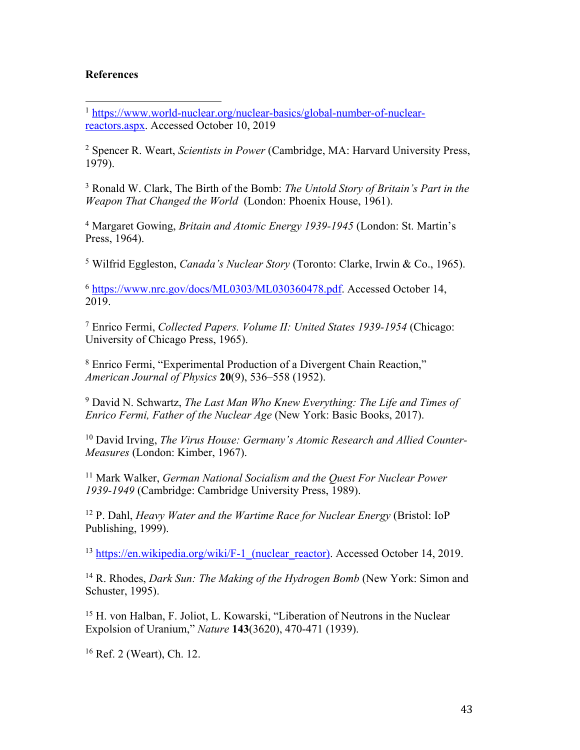#### **References**

 

<sup>2</sup> Spencer R. Weart, *Scientists in Power* (Cambridge, MA: Harvard University Press, 1979).

<sup>3</sup> Ronald W. Clark, The Birth of the Bomb: *The Untold Story of Britain's Part in the Weapon That Changed the World* (London: Phoenix House, 1961).

<sup>4</sup> Margaret Gowing, *Britain and Atomic Energy 1939-1945* (London: St. Martin's Press, 1964).

<sup>5</sup> Wilfrid Eggleston, *Canada's Nuclear Story* (Toronto: Clarke, Irwin & Co., 1965).

<sup>6</sup> https://www.nrc.gov/docs/ML0303/ML030360478.pdf. Accessed October 14, 2019.

<sup>7</sup> Enrico Fermi, *Collected Papers. Volume II: United States 1939-1954* (Chicago: University of Chicago Press, 1965).

<sup>8</sup> Enrico Fermi, "Experimental Production of a Divergent Chain Reaction," *American Journal of Physics* **20**(9), 536–558 (1952).

<sup>9</sup> David N. Schwartz, *The Last Man Who Knew Everything: The Life and Times of Enrico Fermi, Father of the Nuclear Age* (New York: Basic Books, 2017).

<sup>10</sup> David Irving, *The Virus House: Germany's Atomic Research and Allied Counter-Measures* (London: Kimber, 1967).

<sup>11</sup> Mark Walker, *German National Socialism and the Quest For Nuclear Power 1939-1949* (Cambridge: Cambridge University Press, 1989).

<sup>12</sup> P. Dahl, *Heavy Water and the Wartime Race for Nuclear Energy* (Bristol: IoP Publishing, 1999).

<sup>13</sup> https://en.wikipedia.org/wiki/F-1\_(nuclear\_reactor). Accessed October 14, 2019.

<sup>14</sup> R. Rhodes, *Dark Sun: The Making of the Hydrogen Bomb* (New York: Simon and Schuster, 1995).

<sup>15</sup> H. von Halban, F. Joliot, L. Kowarski, "Liberation of Neutrons in the Nuclear Expolsion of Uranium," *Nature* **143**(3620), 470-471 (1939).

<sup>16</sup> Ref. 2 (Weart), Ch. 12.

<sup>&</sup>lt;sup>1</sup> https://www.world-nuclear.org/nuclear-basics/global-number-of-nuclearreactors.aspx. Accessed October 10, 2019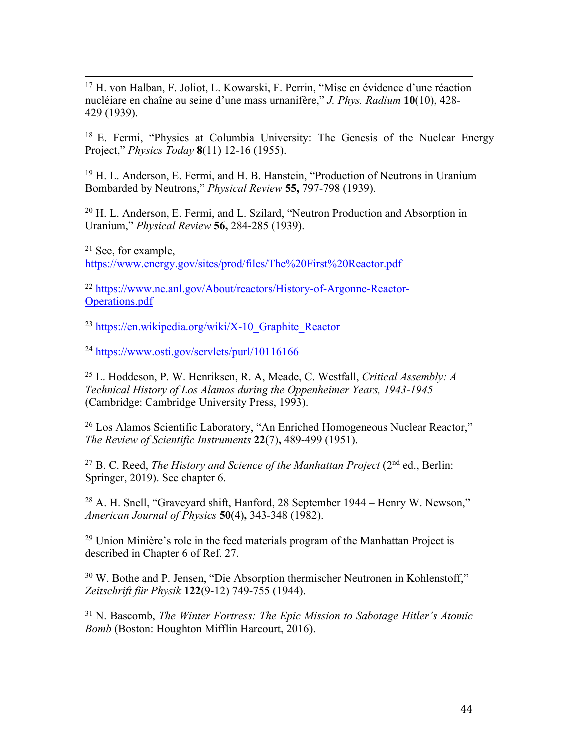<sup>17</sup> H. von Halban, F. Joliot, L. Kowarski, F. Perrin, "Mise en évidence d'une réaction nucléiare en chaîne au seine d'une mass urnanifère," *J. Phys. Radium* **10**(10), 428- 429 (1939).

<u> 1989 - Andrea Santa Andrea Andrea Andrea Andrea Andrea Andrea Andrea Andrea Andrea Andrea Andrea Andrea Andr</u>

<sup>18</sup> E. Fermi, "Physics at Columbia University: The Genesis of the Nuclear Energy Project," *Physics Today* **8**(11) 12-16 (1955).

<sup>19</sup> H. L. Anderson, E. Fermi, and H. B. Hanstein, "Production of Neutrons in Uranium Bombarded by Neutrons," *Physical Review* **55,** 797-798 (1939).

<sup>20</sup> H. L. Anderson, E. Fermi, and L. Szilard, "Neutron Production and Absorption in Uranium," *Physical Review* **56,** 284-285 (1939).

<sup>21</sup> See, for example, https://www.energy.gov/sites/prod/files/The%20First%20Reactor.pdf

<sup>22</sup> https://www.ne.anl.gov/About/reactors/History-of-Argonne-Reactor-Operations.pdf

 $^{23}$  https://en.wikipedia.org/wiki/X-10 Graphite Reactor

<sup>24</sup> https://www.osti.gov/servlets/purl/10116166

<sup>25</sup> L. Hoddeson, P. W. Henriksen, R. A, Meade, C. Westfall, *Critical Assembly: A Technical History of Los Alamos during the Oppenheimer Years, 1943-1945* (Cambridge: Cambridge University Press, 1993).

<sup>26</sup> Los Alamos Scientific Laboratory, "An Enriched Homogeneous Nuclear Reactor," *The Review of Scientific Instruments* **22**(7)**,** 489-499 (1951).

<sup>27</sup> B. C. Reed, *The History and Science of the Manhattan Project* (2nd ed., Berlin: Springer, 2019). See chapter 6.

<sup>28</sup> A. H. Snell, "Graveyard shift, Hanford, 28 September 1944 – Henry W. Newson," *American Journal of Physics* **50**(4)**,** 343-348 (1982).

 $29$  Union Minière's role in the feed materials program of the Manhattan Project is described in Chapter 6 of Ref. 27.

<sup>30</sup> W. Bothe and P. Jensen, "Die Absorption thermischer Neutronen in Kohlenstoff," *Zeitschrift für Physik* **122**(9-12) 749-755 (1944).

<sup>31</sup> N. Bascomb, *The Winter Fortress: The Epic Mission to Sabotage Hitler's Atomic Bomb* (Boston: Houghton Mifflin Harcourt, 2016).